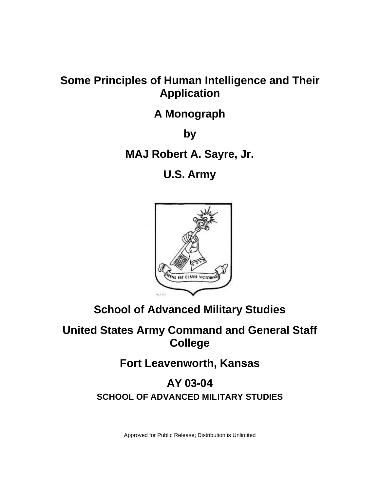# **Some Principles of Human Intelligence and Their Application**

## **A Monograph**

**by** 

**MAJ Robert A. Sayre, Jr.** 

**U.S. Army** 



# **School of Advanced Military Studies**

# **United States Army Command and General Staff College**

**Fort Leavenworth, Kansas** 

## **AY 03-04 SCHOOL OF ADVANCED MILITARY STUDIES**

Approved for Public Release; Distribution is Unlimited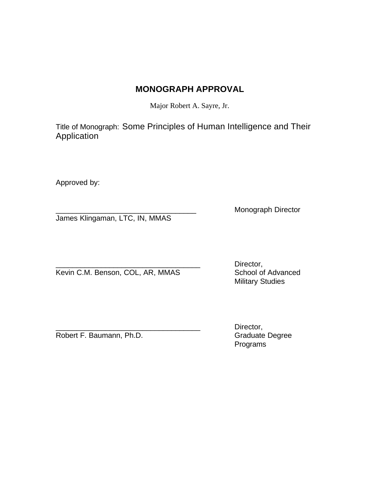## **MONOGRAPH APPROVAL**

Major Robert A. Sayre, Jr.

Title of Monograph: Some Principles of Human Intelligence and Their Application

Approved by:

James Klingaman, LTC, IN, MMAS

Monograph Director

Kevin C.M. Benson, COL, AR, MMAS School of Advanced

Director, Military Studies

Robert F. Baumann, Ph.D.

Director,<br>Graduate Degree Programs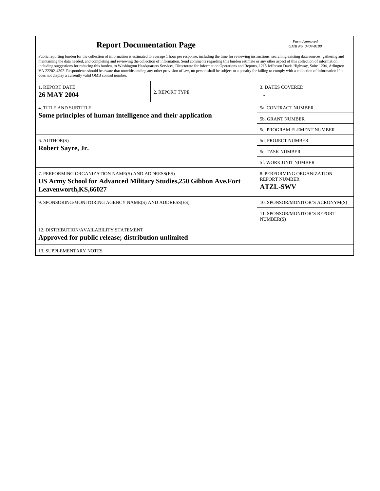| <b>Report Documentation Page</b>                                                                                                                                                                                                                                                                                                                                                                                                                                                                                                                                                                                                                                                                                                                                                                                                                                   | Form Approved<br>OMB No. 0704-0188 |                                                                       |  |  |
|--------------------------------------------------------------------------------------------------------------------------------------------------------------------------------------------------------------------------------------------------------------------------------------------------------------------------------------------------------------------------------------------------------------------------------------------------------------------------------------------------------------------------------------------------------------------------------------------------------------------------------------------------------------------------------------------------------------------------------------------------------------------------------------------------------------------------------------------------------------------|------------------------------------|-----------------------------------------------------------------------|--|--|
| Public reporting burden for the collection of information is estimated to average 1 hour per response, including the time for reviewing instructions, searching existing data sources, gathering and<br>maintaining the data needed, and completing and reviewing the collection of information. Send comments regarding this burden estimate or any other aspect of this collection of information,<br>including suggestions for reducing this burden, to Washington Headquarters Services, Directorate for Information Operations and Reports, 1215 Jefferson Davis Highway, Suite 1204, Arlington<br>VA 22202-4302. Respondents should be aware that notwithstanding any other provision of law, no person shall be subject to a penalty for failing to comply with a collection of information if it<br>does not display a currently valid OMB control number. |                                    |                                                                       |  |  |
| <b>1. REPORT DATE</b><br><b>26 MAY 2004</b>                                                                                                                                                                                                                                                                                                                                                                                                                                                                                                                                                                                                                                                                                                                                                                                                                        | 2. REPORT TYPE                     | <b>3. DATES COVERED</b>                                               |  |  |
| <b>4. TITLE AND SUBTITLE</b><br>Some principles of human intelligence and their application                                                                                                                                                                                                                                                                                                                                                                                                                                                                                                                                                                                                                                                                                                                                                                        |                                    | <b>5a. CONTRACT NUMBER</b>                                            |  |  |
|                                                                                                                                                                                                                                                                                                                                                                                                                                                                                                                                                                                                                                                                                                                                                                                                                                                                    |                                    | 5b. GRANT NUMBER                                                      |  |  |
|                                                                                                                                                                                                                                                                                                                                                                                                                                                                                                                                                                                                                                                                                                                                                                                                                                                                    |                                    | 5c. PROGRAM ELEMENT NUMBER                                            |  |  |
| 6. AUTHOR(S)<br>Robert Sayre, Jr.                                                                                                                                                                                                                                                                                                                                                                                                                                                                                                                                                                                                                                                                                                                                                                                                                                  |                                    | <b>5d. PROJECT NUMBER</b>                                             |  |  |
|                                                                                                                                                                                                                                                                                                                                                                                                                                                                                                                                                                                                                                                                                                                                                                                                                                                                    |                                    | <b>5e. TASK NUMBER</b>                                                |  |  |
|                                                                                                                                                                                                                                                                                                                                                                                                                                                                                                                                                                                                                                                                                                                                                                                                                                                                    |                                    | 5f. WORK UNIT NUMBER                                                  |  |  |
| 7. PERFORMING ORGANIZATION NAME(S) AND ADDRESS(ES)<br>US Army School for Advanced Military Studies, 250 Gibbon Ave, Fort<br>Leavenworth, KS, 66027                                                                                                                                                                                                                                                                                                                                                                                                                                                                                                                                                                                                                                                                                                                 |                                    | 8. PERFORMING ORGANIZATION<br><b>REPORT NUMBER</b><br><b>ATZL-SWV</b> |  |  |
| 9. SPONSORING/MONITORING AGENCY NAME(S) AND ADDRESS(ES)                                                                                                                                                                                                                                                                                                                                                                                                                                                                                                                                                                                                                                                                                                                                                                                                            |                                    | 10. SPONSOR/MONITOR'S ACRONYM(S)                                      |  |  |
|                                                                                                                                                                                                                                                                                                                                                                                                                                                                                                                                                                                                                                                                                                                                                                                                                                                                    |                                    | <b>11. SPONSOR/MONITOR'S REPORT</b><br>NUMBER(S)                      |  |  |
| <b>12. DISTRIBUTION/AVAILABILITY STATEMENT</b><br>Approved for public release; distribution unlimited                                                                                                                                                                                                                                                                                                                                                                                                                                                                                                                                                                                                                                                                                                                                                              |                                    |                                                                       |  |  |
| <b>13. SUPPLEMENTARY NOTES</b>                                                                                                                                                                                                                                                                                                                                                                                                                                                                                                                                                                                                                                                                                                                                                                                                                                     |                                    |                                                                       |  |  |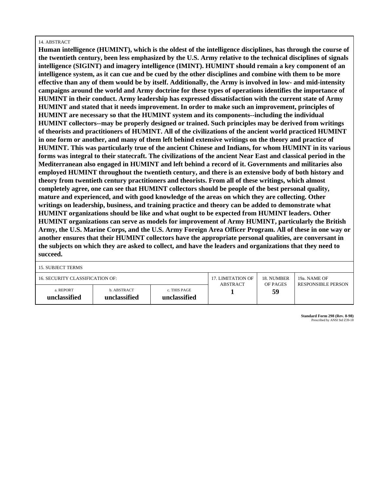#### 14. ABSTRACT

**Human intelligence (HUMINT), which is the oldest of the intelligence disciplines, has through the course of the twentieth century, been less emphasized by the U.S. Army relative to the technical disciplines of signals intelligence (SIGINT) and imagery intelligence (IMINT). HUMINT should remain a key component of an intelligence system, as it can cue and be cued by the other disciplines and combine with them to be more effective than any of them would be by itself. Additionally, the Army is involved in low- and mid-intensity campaigns around the world and Army doctrine for these types of operations identifies the importance of HUMINT in their conduct. Army leadership has expressed dissatisfaction with the current state of Army HUMINT and stated that it needs improvement. In order to make such an improvement, principles of HUMINT are necessary so that the HUMINT system and its components--including the individual HUMINT collectors--may be properly designed or trained. Such principles may be derived from writings of theorists and practitioners of HUMINT. All of the civilizations of the ancient world practiced HUMINT in one form or another, and many of them left behind extensive writings on the theory and practice of HUMINT. This was particularly true of the ancient Chinese and Indians, for whom HUMINT in its various forms was integral to their statecraft. The civilizations of the ancient Near East and classical period in the Mediterranean also engaged in HUMINT and left behind a record of it. Governments and militaries also employed HUMINT throughout the twentieth century, and there is an extensive body of both history and theory from twentieth century practitioners and theorists. From all of these writings, which almost completely agree, one can see that HUMINT collectors should be people of the best personal quality, mature and experienced, and with good knowledge of the areas on which they are collecting. Other writings on leadership, business, and training practice and theory can be added to demonstrate what HUMINT organizations should be like and what ought to be expected from HUMINT leaders. Other HUMINT organizations can serve as models for improvement of Army HUMINT, particularly the British Army, the U.S. Marine Corps, and the U.S. Army Foreign Area Officer Program. All of these in one way or another ensures that their HUMINT collectors have the appropriate personal qualities, are conversant in the subjects on which they are asked to collect, and have the leaders and organizations that they need to succeed.**

15. SUBJECT TERMS

| 16. SECURITY CLASSIFICATION OF: |                             |                              | 17. LIMITATION OF<br><b>ABSTRACT</b> | 18. NUMBER<br>OF PAGES | 19a. NAME OF<br><b>RESPONSIBLE PERSON</b> |
|---------------------------------|-----------------------------|------------------------------|--------------------------------------|------------------------|-------------------------------------------|
| a. REPORT<br>unclassified       | b. ABSTRACT<br>unclassified | c. THIS PAGE<br>unclassified |                                      | 59                     |                                           |

**Standard Form 298 (Rev. 8-98)** Prescribed by ANSI Std Z39-18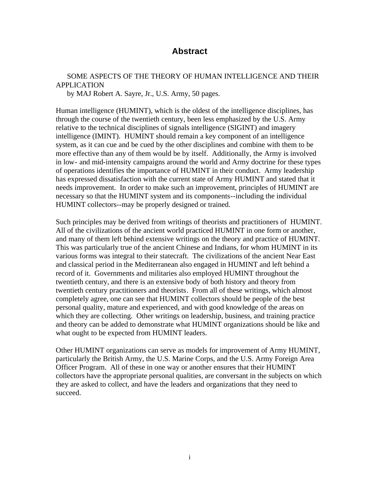## **Abstract**

## SOME ASPECTS OF THE THEORY OF HUMAN INTELLIGENCE AND THEIR APPLICATION

by MAJ Robert A. Sayre, Jr., U.S. Army, 50 pages.

Human intelligence (HUMINT), which is the oldest of the intelligence disciplines, has through the course of the twentieth century, been less emphasized by the U.S. Army relative to the technical disciplines of signals intelligence (SIGINT) and imagery intelligence (IMINT). HUMINT should remain a key component of an intelligence system, as it can cue and be cued by the other disciplines and combine with them to be more effective than any of them would be by itself. Additionally, the Army is involved in low- and mid-intensity campaigns around the world and Army doctrine for these types of operations identifies the importance of HUMINT in their conduct. Army leadership has expressed dissatisfaction with the current state of Army HUMINT and stated that it needs improvement. In order to make such an improvement, principles of HUMINT are necessary so that the HUMINT system and its components--including the individual HUMINT collectors--may be properly designed or trained.

Such principles may be derived from writings of theorists and practitioners of HUMINT. All of the civilizations of the ancient world practiced HUMINT in one form or another, and many of them left behind extensive writings on the theory and practice of HUMINT. This was particularly true of the ancient Chinese and Indians, for whom HUMINT in its various forms was integral to their statecraft. The civilizations of the ancient Near East and classical period in the Mediterranean also engaged in HUMINT and left behind a record of it. Governments and militaries also employed HUMINT throughout the twentieth century, and there is an extensive body of both history and theory from twentieth century practitioners and theorists. From all of these writings, which almost completely agree, one can see that HUMINT collectors should be people of the best personal quality, mature and experienced, and with good knowledge of the areas on which they are collecting. Other writings on leadership, business, and training practice and theory can be added to demonstrate what HUMINT organizations should be like and what ought to be expected from HUMINT leaders.

Other HUMINT organizations can serve as models for improvement of Army HUMINT, particularly the British Army, the U.S. Marine Corps, and the U.S. Army Foreign Area Officer Program. All of these in one way or another ensures that their HUMINT collectors have the appropriate personal qualities, are conversant in the subjects on which they are asked to collect, and have the leaders and organizations that they need to succeed.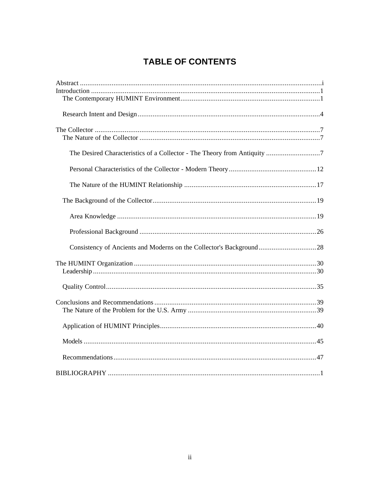## **TABLE OF CONTENTS**

| Consistency of Ancients and Moderns on the Collector's Background28 |
|---------------------------------------------------------------------|
|                                                                     |
|                                                                     |
|                                                                     |
|                                                                     |
|                                                                     |
|                                                                     |
|                                                                     |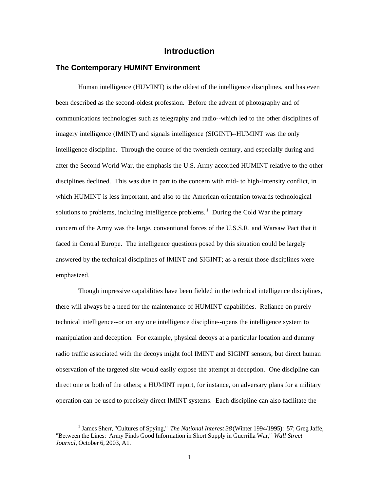### **Introduction**

#### **The Contemporary HUMINT Environment**

Human intelligence (HUMINT) is the oldest of the intelligence disciplines, and has even been described as the second-oldest profession. Before the advent of photography and of communications technologies such as telegraphy and radio--which led to the other disciplines of imagery intelligence (IMINT) and signals intelligence (SIGINT)--HUMINT was the only intelligence discipline. Through the course of the twentieth century, and especially during and after the Second World War, the emphasis the U.S. Army accorded HUMINT relative to the other disciplines declined. This was due in part to the concern with mid- to high-intensity conflict, in which HUMINT is less important, and also to the American orientation towards technological solutions to problems, including intelligence problems.<sup>1</sup> During the Cold War the primary concern of the Army was the large, conventional forces of the U.S.S.R. and Warsaw Pact that it faced in Central Europe. The intelligence questions posed by this situation could be largely answered by the technical disciplines of IMINT and SIGINT; as a result those disciplines were emphasized.

Though impressive capabilities have been fielded in the technical intelligence disciplines, there will always be a need for the maintenance of HUMINT capabilities. Reliance on purely technical intelligence--or on any one intelligence discipline--opens the intelligence system to manipulation and deception. For example, physical decoys at a particular location and dummy radio traffic associated with the decoys might fool IMINT and SIGINT sensors, but direct human observation of the targeted site would easily expose the attempt at deception. One discipline can direct one or both of the others; a HUMINT report, for instance, on adversary plans for a military operation can be used to precisely direct IMINT systems. Each discipline can also facilitate the

<sup>&</sup>lt;sup>1</sup> James Sherr, "Cultures of Spying," *The National Interest 38* (Winter 1994/1995): 57; Greg Jaffe, "Between the Lines: Army Finds Good Information in Short Supply in Guerrilla War," *Wall Street Journal*, October 6, 2003, A1.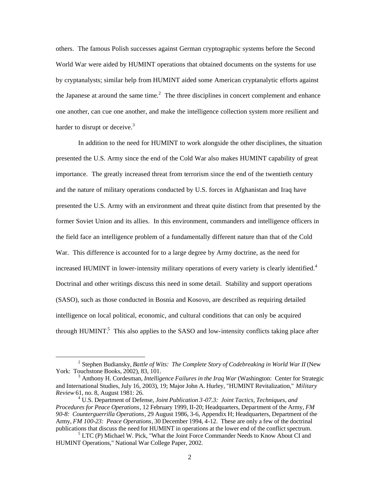others. The famous Polish successes against German cryptographic systems before the Second World War were aided by HUMINT operations that obtained documents on the systems for use by cryptanalysts; similar help from HUMINT aided some American cryptanalytic efforts against the Japanese at around the same time.<sup>2</sup> The three disciplines in concert complement and enhance one another, can cue one another, and make the intelligence collection system more resilient and harder to disrupt or deceive.<sup>3</sup>

In addition to the need for HUMINT to work alongside the other disciplines, the situation presented the U.S. Army since the end of the Cold War also makes HUMINT capability of great importance. The greatly increased threat from terrorism since the end of the twentieth century and the nature of military operations conducted by U.S. forces in Afghanistan and Iraq have presented the U.S. Army with an environment and threat quite distinct from that presented by the former Soviet Union and its allies. In this environment, commanders and intelligence officers in the field face an intelligence problem of a fundamentally different nature than that of the Cold War. This difference is accounted for to a large degree by Army doctrine, as the need for increased HUMINT in lower-intensity military operations of every variety is clearly identified.<sup>4</sup> Doctrinal and other writings discuss this need in some detail. Stability and support operations (SASO), such as those conducted in Bosnia and Kosovo, are described as requiring detailed intelligence on local political, economic, and cultural conditions that can only be acquired through HUMINT.<sup>5</sup> This also applies to the SASO and low-intensity conflicts taking place after

<sup>&</sup>lt;sup>2</sup> Stephen Budiansky, *Battle of Wits: The Complete Story of Codebreaking in World War II* (New York: Touchstone Books, 2002), 83, 101.

<sup>&</sup>lt;sup>3</sup> Anthony H. Cordesman, *Intelligence Failures in the Iraq War* (Washington: Center for Strategic and International Studies, July 16, 2003), 19; Major John A. Hurley, "HUMINT Revitalization," *Military Review* 61, no. 8, August 1981: 26. <sup>4</sup>

U.S. Department of Defense, *Joint Publication 3-07.3: Joint Tactics, Techniques, and Procedures for Peace Operations*, 12 February 1999, II-20; Headquarters, Department of the Army, *FM 90-8: Counterguerrilla Operations*, 29 August 1986, 3-6, Appendix H; Headquarters, Department of the Army, *FM 100-23: Peace Operations*, 30 December 1994, 4-12. These are only a few of the doctrinal publications that discuss the need for HUMINT in operations at the lower end of the conflict spectrum. 5

<sup>&</sup>lt;sup>5</sup> LTC (P) Michael W. Pick, "What the Joint Force Commander Needs to Know About CI and HUMINT Operations," National War College Paper, 2002.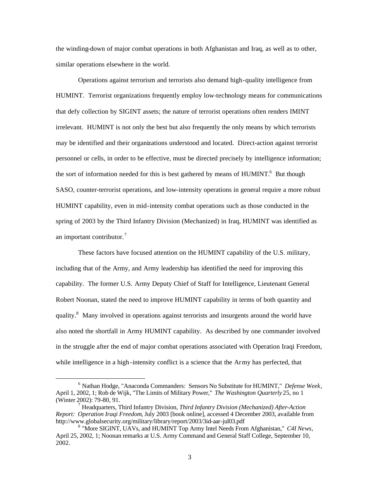the winding-down of major combat operations in both Afghanistan and Iraq, as well as to other, similar operations elsewhere in the world.

Operations against terrorism and terrorists also demand high-quality intelligence from HUMINT. Terrorist organizations frequently employ low-technology means for communications that defy collection by SIGINT assets; the nature of terrorist operations often renders IMINT irrelevant. HUMINT is not only the best but also frequently the only means by which terrorists may be identified and their organizations understood and located. Direct-action against terrorist personnel or cells, in order to be effective, must be directed precisely by intelligence information; the sort of information needed for this is best gathered by means of  $HUMINT<sup>6</sup>$  But though SASO, counter-terrorist operations, and low-intensity operations in general require a more robust HUMINT capability, even in mid-intensity combat operations such as those conducted in the spring of 2003 by the Third Infantry Division (Mechanized) in Iraq, HUMINT was identified as an important contributor.<sup>7</sup>

These factors have focused attention on the HUMINT capability of the U.S. military, including that of the Army, and Army leadership has identified the need for improving this capability. The former U.S. Army Deputy Chief of Staff for Intelligence, Lieutenant General Robert Noonan, stated the need to improve HUMINT capability in terms of both quantity and quality.<sup>8</sup> Many involved in operations against terrorists and insurgents around the world have also noted the shortfall in Army HUMINT capability. As described by one commander involved in the struggle after the end of major combat operations associated with Operation Iraqi Freedom, while intelligence in a high-intensity conflict is a science that the Army has perfected, that

<sup>6</sup> Nathan Hodge, "Anaconda Commanders: Sensors No Substitute for HUMINT," *Defense Week*, April 1, 2002, 1; Rob de Wijk, "The Limits of Military Power," *The Washington Quarterly* 25, no 1 (Winter 2002): 79-80, 91.

Headquarters, Third Infantry Division, *Third Infantry Division (Mechanized) After-Action Report: Operation Iraqi Freedom*, July 2003 [book online], accessed 4 December 2003, available from http://www.globalsecurity.org/military/library/report/2003/3id-aar-jul03.pdf

<sup>8</sup> "More SIGINT, UAVs, and HUMINT Top Army Intel Needs From Afghanistan," *C4I News*, April 25, 2002, 1; Noonan remarks at U.S. Army Command and General Staff College, September 10, 2002.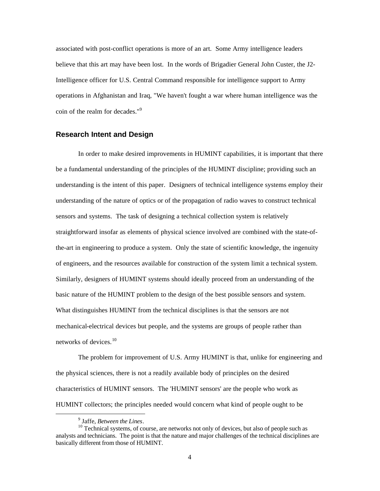associated with post-conflict operations is more of an art. Some Army intelligence leaders believe that this art may have been lost. In the words of Brigadier General John Custer, the J2 Intelligence officer for U.S. Central Command responsible for intelligence support to Army operations in Afghanistan and Iraq, "We haven't fought a war where human intelligence was the coin of the realm for decades."<sup>9</sup>

#### **Research Intent and Design**

In order to make desired improvements in HUMINT capabilities, it is important that there be a fundamental understanding of the principles of the HUMINT discipline; providing such an understanding is the intent of this paper. Designers of technical intelligence systems employ their understanding of the nature of optics or of the propagation of radio waves to construct technical sensors and systems. The task of designing a technical collection system is relatively straightforward insofar as elements of physical science involved are combined with the state-ofthe-art in engineering to produce a system. Only the state of scientific knowledge, the ingenuity of engineers, and the resources available for construction of the system limit a technical system. Similarly, designers of HUMINT systems should ideally proceed from an understanding of the basic nature of the HUMINT problem to the design of the best possible sensors and system. What distinguishes HUMINT from the technical disciplines is that the sensors are not mechanical-electrical devices but people, and the systems are groups of people rather than networks of devices. $10$ 

The problem for improvement of U.S. Army HUMINT is that, unlike for engineering and the physical sciences, there is not a readily available body of principles on the desired characteristics of HUMINT sensors. The 'HUMINT sensors' are the people who work as HUMINT collectors; the principles needed would concern what kind of people ought to be

 $<sup>9</sup>$  Jaffe. *Between the Lines*.</sup>

<sup>&</sup>lt;sup>10</sup> Technical systems, of course, are networks not only of devices, but also of people such as analysts and technicians. The point is that the nature and major challenges of the technical disciplines are basically different from those of HUMINT.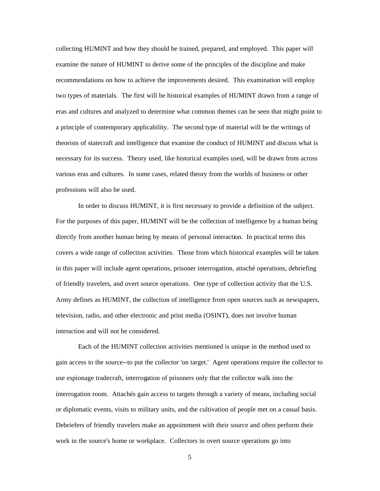collecting HUMINT and how they should be trained, prepared, and employed. This paper will examine the nature of HUMINT to derive some of the principles of the discipline and make recommendations on how to achieve the improvements desired. This examination will employ two types of materials. The first will be historical examples of HUMINT drawn from a range of eras and cultures and analyzed to determine what common themes can be seen that might point to a principle of contemporary applicability. The second type of material will be the writings of theorists of statecraft and intelligence that examine the conduct of HUMINT and discuss what is necessary for its success. Theory used, like historical examples used, will be drawn from across various eras and cultures. In some cases, related theory from the worlds of business or other professions will also be used.

In order to discuss HUMINT, it is first necessary to provide a definition of the subject. For the purposes of this paper, HUMINT will be the collection of intelligence by a human being directly from another human being by means of personal interaction. In practical terms this covers a wide range of collection activities. Those from which historical examples will be taken in this paper will include agent operations, prisoner interrogation, attaché operations, debriefing of friendly travelers, and overt source operations. One type of collection activity that the U.S. Army defines as HUMINT, the collection of intelligence from open sources such as newspapers, television, radio, and other electronic and print media (OSINT), does not involve human interaction and will not be considered.

Each of the HUMINT collection activities mentioned is unique in the method used to gain access to the source--to put the collector 'on target.' Agent operations require the collector to use espionage tradecraft, interrogation of prisoners only that the collector walk into the interrogation room. Attachés gain access to targets through a variety of means, including social or diplomatic events, visits to military units, and the cultivation of people met on a casual basis. Debriefers of friendly travelers make an appointment with their source and often perform their work in the source's home or workplace. Collectors in overt source operations go into

5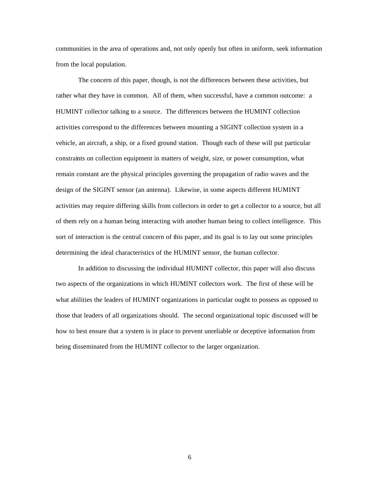communities in the area of operations and, not only openly but often in uniform, seek information from the local population.

The concern of this paper, though, is not the differences between these activities, but rather what they have in common. All of them, when successful, have a common outcome: a HUMINT collector talking to a source. The differences between the HUMINT collection activities correspond to the differences between mounting a SIGINT collection system in a vehicle, an aircraft, a ship, or a fixed ground station. Though each of these will put particular constraints on collection equipment in matters of weight, size, or power consumption, what remain constant are the physical principles governing the propagation of radio waves and the design of the SIGINT sensor (an antenna). Likewise, in some aspects different HUMINT activities may require differing skills from collectors in order to get a collector to a source, but all of them rely on a human being interacting with another human being to collect intelligence. This sort of interaction is the central concern of this paper, and its goal is to lay out some principles determining the ideal characteristics of the HUMINT sensor, the human collector.

In addition to discussing the individual HUMINT collector, this paper will also discuss two aspects of the organizations in which HUMINT collectors work. The first of these will be what abilities the leaders of HUMINT organizations in particular ought to possess as opposed to those that leaders of all organizations should. The second organizational topic discussed will be how to best ensure that a system is in place to prevent unreliable or deceptive information from being disseminated from the HUMINT collector to the larger organization.

6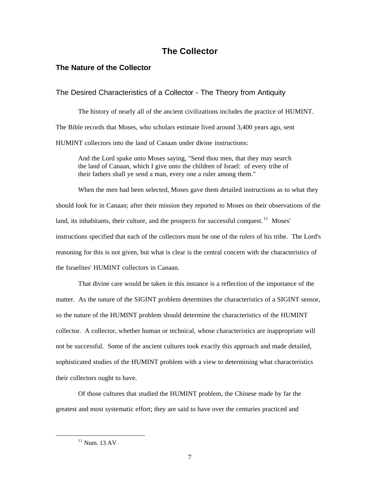## **The Collector**

## **The Nature of the Collector**

## The Desired Characteristics of a Collector - The Theory from Antiquity

The history of nearly all of the ancient civilizations includes the practice of HUMINT. The Bible records that Moses, who scholars estimate lived around 3,400 years ago, sent HUMINT collectors into the land of Canaan under divine instructions:

And the Lord spake unto Moses saying, "Send thou men, that they may search the land of Canaan, which I give unto the children of Israel: of every tribe of their fathers shall ye send a man, every one a ruler among them."

When the men had been selected, Moses gave them detailed instructions as to what they should look for in Canaan; after their mission they reported to Moses on their observations of the land, its inhabitants, their culture, and the prospects for successful conquest.<sup>11</sup> Moses' instructions specified that each of the collectors must be one of the rulers of his tribe. The Lord's reasoning for this is not given, but what is clear is the central concern with the characteristics of the Israelites' HUMINT collectors in Canaan.

That divine care would be taken in this instance is a reflection of the importance of the matter. As the nature of the SIGINT problem determines the characteristics of a SIGINT sensor, so the nature of the HUMINT problem should determine the characteristics of the HUMINT collector. A collector, whether human or technical, whose characteristics are inappropriate will not be successful. Some of the ancient cultures took exactly this approach and made detailed, sophisticated studies of the HUMINT problem with a view to determining what characteristics their collectors ought to have.

Of those cultures that studied the HUMINT problem, the Chinese made by far the greatest and most systematic effort; they are said to have over the centuries practiced and

 $11$  Num. 13 AV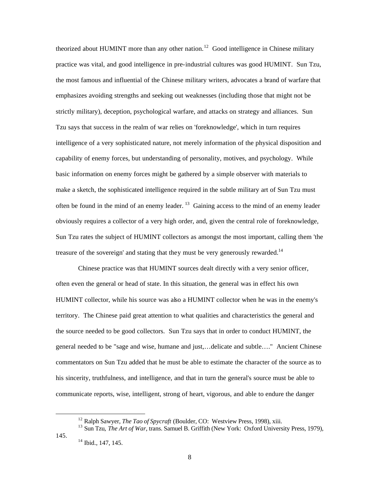theorized about HUMINT more than any other nation.<sup>12</sup> Good intelligence in Chinese military practice was vital, and good intelligence in pre-industrial cultures was good HUMINT. Sun Tzu, the most famous and influential of the Chinese military writers, advocates a brand of warfare that emphasizes avoiding strengths and seeking out weaknesses (including those that might not be strictly military), deception, psychological warfare, and attacks on strategy and alliances. Sun Tzu says that success in the realm of war relies on 'foreknowledge', which in turn requires intelligence of a very sophisticated nature, not merely information of the physical disposition and capability of enemy forces, but understanding of personality, motives, and psychology. While basic information on enemy forces might be gathered by a simple observer with materials to make a sketch, the sophisticated intelligence required in the subtle military art of Sun Tzu must often be found in the mind of an enemy leader.<sup>13</sup> Gaining access to the mind of an enemy leader obviously requires a collector of a very high order, and, given the central role of foreknowledge, Sun Tzu rates the subject of HUMINT collectors as amongst the most important, calling them 'the treasure of the sovereign' and stating that they must be very generously rewarded.<sup>14</sup>

Chinese practice was that HUMINT sources dealt directly with a very senior officer, often even the general or head of state. In this situation, the general was in effect his own HUMINT collector, while his source was also a HUMINT collector when he was in the enemy's territory. The Chinese paid great attention to what qualities and characteristics the general and the source needed to be good collectors. Sun Tzu says that in order to conduct HUMINT, the general needed to be "sage and wise, humane and just,…delicate and subtle…." Ancient Chinese commentators on Sun Tzu added that he must be able to estimate the character of the source as to his sincerity, truthfulness, and intelligence, and that in turn the general's source must be able to communicate reports, wise, intelligent, strong of heart, vigorous, and able to endure the danger

<sup>&</sup>lt;sup>12</sup> Ralph Sawyer, *The Tao of Spycraft* (Boulder, CO: Westview Press, 1998), xiii.

<sup>&</sup>lt;sup>13</sup> Sun Tzu, *The Art of War*, trans. Samuel B. Griffith (New York: Oxford University Press, 1979),

<sup>145. &</sup>lt;sup>14</sup> Ibid., 147, 145.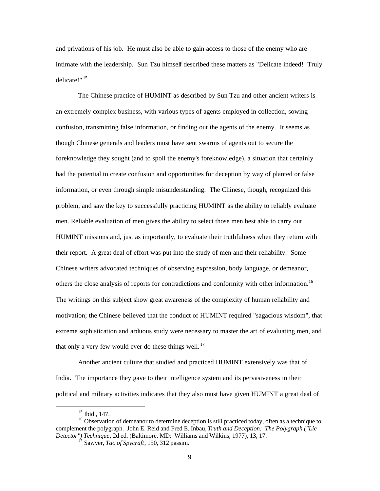and privations of his job. He must also be able to gain access to those of the enemy who are intimate with the leadership. Sun Tzu himself described these matters as "Delicate indeed! Truly delicate!" <sup>15</sup>

The Chinese practice of HUMINT as described by Sun Tzu and other ancient writers is an extremely complex business, with various types of agents employed in collection, sowing confusion, transmitting false information, or finding out the agents of the enemy. It seems as though Chinese generals and leaders must have sent swarms of agents out to secure the foreknowledge they sought (and to spoil the enemy's foreknowledge), a situation that certainly had the potential to create confusion and opportunities for deception by way of planted or false information, or even through simple misunderstanding. The Chinese, though, recognized this problem, and saw the key to successfully practicing HUMINT as the ability to reliably evaluate men. Reliable evaluation of men gives the ability to select those men best able to carry out HUMINT missions and, just as importantly, to evaluate their truthfulness when they return with their report. A great deal of effort was put into the study of men and their reliability. Some Chinese writers advocated techniques of observing expression, body language, or demeanor, others the close analysis of reports for contradictions and conformity with other information.<sup>16</sup> The writings on this subject show great awareness of the complexity of human reliability and motivation; the Chinese believed that the conduct of HUMINT required "sagacious wisdom", that extreme sophistication and arduous study were necessary to master the art of evaluating men, and that only a very few would ever do these things well.  $17$ 

Another ancient culture that studied and practiced HUMINT extensively was that of India. The importance they gave to their intelligence system and its pervasiveness in their political and military activities indicates that they also must have given HUMINT a great deal of

<sup>15</sup> Ibid., 147.

 $16$  Observation of demeanor to determine deception is still practiced today, often as a technique to complement the polygraph. John E. Reid and Fred E. Inbau, *Truth and Deception: The Polygraph ("Lie Detector") Technique*, 2d ed. (Baltimore, MD: Williams and Wilkins, 1977), 13, 17.

<sup>17</sup> Sawyer, *Tao of Spycraft*, 150, 312 passim.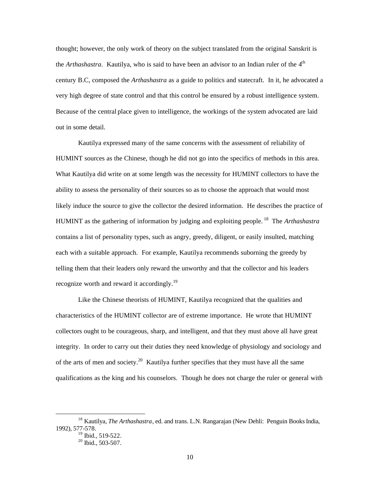thought; however, the only work of theory on the subject translated from the original Sanskrit is the *Arthashastra*. Kautilya, who is said to have been an advisor to an Indian ruler of the 4<sup>th</sup> century B.C, composed the *Arthashastra* as a guide to politics and statecraft. In it, he advocated a very high degree of state control and that this control be ensured by a robust intelligence system. Because of the central place given to intelligence, the workings of the system advocated are laid out in some detail.

Kautilya expressed many of the same concerns with the assessment of reliability of HUMINT sources as the Chinese, though he did not go into the specifics of methods in this area. What Kautilya did write on at some length was the necessity for HUMINT collectors to have the ability to assess the personality of their sources so as to choose the approach that would most likely induce the source to give the collector the desired information. He describes the practice of HUMINT as the gathering of information by judging and exploiting people. 18 The *Arthashastra*  contains a list of personality types, such as angry, greedy, diligent, or easily insulted, matching each with a suitable approach. For example, Kautilya recommends suborning the greedy by telling them that their leaders only reward the unworthy and that the collector and his leaders recognize worth and reward it accordingly.<sup>19</sup>

Like the Chinese theorists of HUMINT, Kautilya recognized that the qualities and characteristics of the HUMINT collector are of extreme importance. He wrote that HUMINT collectors ought to be courageous, sharp, and intelligent, and that they must above all have great integrity. In order to carry out their duties they need knowledge of physiology and sociology and of the arts of men and society.<sup>20</sup> Kautilya further specifies that they must have all the same qualifications as the king and his counselors. Though he does not charge the ruler or general with

<sup>&</sup>lt;sup>18</sup> Kautilya. *The Arthashastra*, ed. and trans. L.N. Rangarajan (New Dehli: Penguin Books India, 1992), 577-578.

 $19$  Ibid., 519-522.

 $20$  Ibid., 503-507.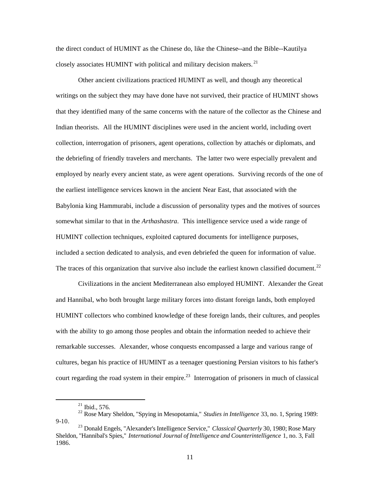the direct conduct of HUMINT as the Chinese do, like the Chinese--and the Bible--Kautilya closely associates HUMINT with political and military decision makers.<sup>21</sup>

Other ancient civilizations practiced HUMINT as well, and though any theoretical writings on the subject they may have done have not survived, their practice of HUMINT shows that they identified many of the same concerns with the nature of the collector as the Chinese and Indian theorists. All the HUMINT disciplines were used in the ancient world, including overt collection, interrogation of prisoners, agent operations, collection by attachés or diplomats, and the debriefing of friendly travelers and merchants. The latter two were especially prevalent and employed by nearly every ancient state, as were agent operations. Surviving records of the one of the earliest intelligence services known in the ancient Near East, that associated with the Babylonia king Hammurabi, include a discussion of personality types and the motives of sources somewhat similar to that in the *Arthashastra*. This intelligence service used a wide range of HUMINT collection techniques, exploited captured documents for intelligence purposes, included a section dedicated to analysis, and even debriefed the queen for information of value. The traces of this organization that survive also include the earliest known classified document.<sup>22</sup>

Civilizations in the ancient Mediterranean also employed HUMINT. Alexander the Great and Hannibal, who both brought large military forces into distant foreign lands, both employed HUMINT collectors who combined knowledge of these foreign lands, their cultures, and peoples with the ability to go among those peoples and obtain the information needed to achieve their remarkable successes. Alexander, whose conquests encompassed a large and various range of cultures, began his practice of HUMINT as a teenager questioning Persian visitors to his father's court regarding the road system in their empire.<sup>23</sup> Interrogation of prisoners in much of classical

<sup>21</sup> Ibid., 576. 22 Rose Mary Sheldon, "Spying in Mesopotamia," *Studies in Intelligence* 33, no. 1, Spring 1989:  $9-10.$ 

<sup>23</sup> Donald Engels, "Alexander's Intelligence Service," *Classical Quarterly* 30, 1980; Rose Mary Sheldon, "Hannibal's Spies," *International Journal of Intelligence and Counterintelligence* 1, no. 3, Fall 1986.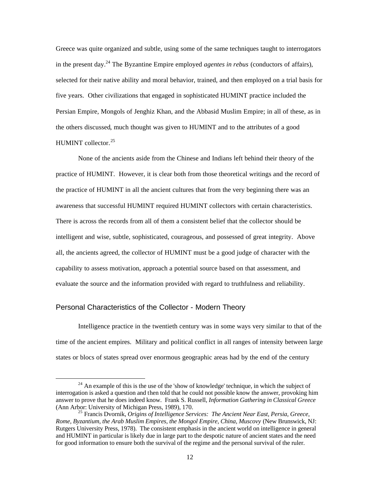Greece was quite organized and subtle, using some of the same techniques taught to interrogators in the present day.24 The Byzantine Empire employed *agentes in rebus* (conductors of affairs), selected for their native ability and moral behavior, trained, and then employed on a trial basis for five years. Other civilizations that engaged in sophisticated HUMINT practice included the Persian Empire, Mongols of Jenghiz Khan, and the Abbasid Muslim Empire; in all of these, as in the others discussed, much thought was given to HUMINT and to the attributes of a good HUMINT collector.<sup>25</sup>

None of the ancients aside from the Chinese and Indians left behind their theory of the practice of HUMINT. However, it is clear both from those theoretical writings and the record of the practice of HUMINT in all the ancient cultures that from the very beginning there was an awareness that successful HUMINT required HUMINT collectors with certain characteristics. There is across the records from all of them a consistent belief that the collector should be intelligent and wise, subtle, sophisticated, courageous, and possessed of great integrity. Above all, the ancients agreed, the collector of HUMINT must be a good judge of character with the capability to assess motivation, approach a potential source based on that assessment, and evaluate the source and the information provided with regard to truthfulness and reliability.

#### Personal Characteristics of the Collector - Modern Theory

Intelligence practice in the twentieth century was in some ways very similar to that of the time of the ancient empires. Military and political conflict in all ranges of intensity between large states or blocs of states spread over enormous geographic areas had by the end of the century

 $24$  An example of this is the use of the 'show of knowledge' technique, in which the subject of interrogation is asked a question and then told that he could not possible know the answer, provoking him answer to prove that he does indeed know. Frank S. Russell, *Information Gathering in Classical Greece* 

<sup>&</sup>lt;sup>25</sup> Francis Dvornik, *Origins of Intelligence Services: The Ancient Near East, Persia, Greece, Rome, Byzantium, the Arab Muslim Empires, the Mongol Empire, China, Muscovy* (New Brunswick, NJ: Rutgers University Press, 1978). The consistent emphasis in the ancient world on intelligence in general and HUMINT in particular is likely due in large part to the despotic nature of ancient states and the need for good information to ensure both the survival of the regime and the personal survival of the ruler.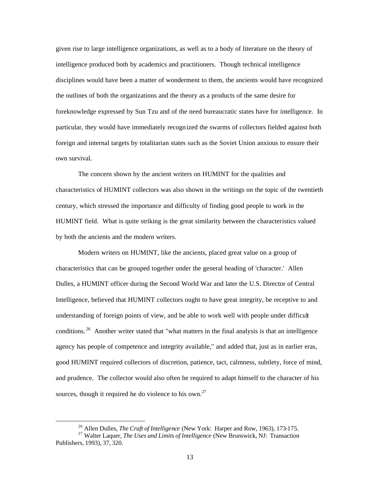given rise to large intelligence organizations, as well as to a body of literature on the theory of intelligence produced both by academics and practitioners. Though technical intelligence disciplines would have been a matter of wonderment to them, the ancients would have recognized the outlines of both the organizations and the theory as a products of the same desire for foreknowledge expressed by Sun Tzu and of the need bureaucratic states have for intelligence. In particular, they would have immediately recogn ized the swarms of collectors fielded against both foreign and internal targets by totalitarian states such as the Soviet Union anxious to ensure their own survival.

The concern shown by the ancient writers on HUMINT for the qualities and characteristics of HUMINT collectors was also shown in the writings on the topic of the twentieth century, which stressed the importance and difficulty of finding good people to work in the HUMINT field. What is quite striking is the great similarity between the characteristics valued by both the ancients and the modern writers.

Modern writers on HUMINT, like the ancients, placed great value on a group of characteristics that can be grouped together under the general heading of 'character.' Allen Dulles, a HUMINT officer during the Second World War and later the U.S. Director of Central Intelligence, believed that HUMINT collectors ought to have great integrity, be receptive to and understanding of foreign points of view, and be able to work well with people under difficult conditions.<sup>26</sup> Another writer stated that "what matters in the final analysis is that an intelligence agency has people of competence and integrity available," and added that, just as in earlier eras, good HUMINT required collectors of discretion, patience, tact, calmness, subtlety, force of mind, and prudence. The collector would also often be required to adapt himself to the character of his sources, though it required he do violence to his own.<sup>27</sup>

<sup>26</sup> Allen Dulles, *The Craft of Intelligence* (New York: Harper and Row, 1963), 173-175.

<sup>27</sup> Walter Laquer, *The Uses and Limits of Intelligence* (New Brunswick, NJ: Transaction Publishers, 1993), 37, 320.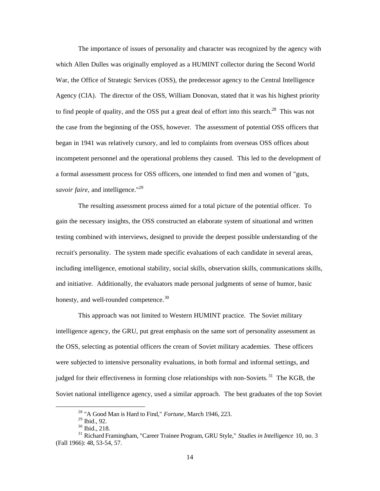The importance of issues of personality and character was recognized by the agency with which Allen Dulles was originally employed as a HUMINT collector during the Second World War, the Office of Strategic Services (OSS), the predecessor agency to the Central Intelligence Agency (CIA). The director of the OSS, William Donovan, stated that it was his highest priority to find people of quality, and the OSS put a great deal of effort into this search.<sup>28</sup> This was not the case from the beginning of the OSS, however. The assessment of potential OSS officers that began in 1941 was relatively cursory, and led to complaints from overseas OSS offices about incompetent personnel and the operational problems they caused. This led to the development of a formal assessment process for OSS officers, one intended to find men and women of "guts, *savoir faire*, and intelligence."<sup>29</sup>

The resulting assessment process aimed for a total picture of the potential officer. To gain the necessary insights, the OSS constructed an elaborate system of situational and written testing combined with interviews, designed to provide the deepest possible understanding of the recruit's personality. The system made specific evaluations of each candidate in several areas, including intelligence, emotional stability, social skills, observation skills, communications skills, and initiative. Additionally, the evaluators made personal judgments of sense of humor, basic honesty, and well-rounded competence.<sup>30</sup>

This approach was not limited to Western HUMINT practice. The Soviet military intelligence agency, the GRU, put great emphasis on the same sort of personality assessment as the OSS, selecting as potential officers the cream of Soviet military academies. These officers were subjected to intensive personality evaluations, in both formal and informal settings, and judged for their effectiveness in forming close relationships with non-Soviets.<sup>31</sup> The KGB, the Soviet national intelligence agency, used a similar approach. The best graduates of the top Soviet

<sup>28 &</sup>quot;A Good Man is Hard to Find," *Fortune*, March 1946, 223.

<sup>29</sup> Ibid., 92.

<sup>30</sup> Ibid., 218.

<sup>31</sup> Richard Framingham, "Career Trainee Program, GRU Style," *Studies in Intelligence* 10, no. 3 (Fall 1966): 48, 53-54, 57.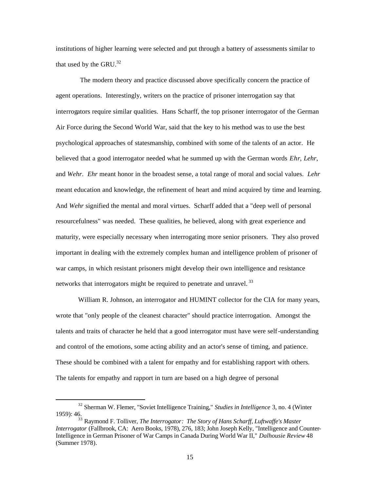institutions of higher learning were selected and put through a battery of assessments similar to that used by the GRU. $^{32}$ 

 The modern theory and practice discussed above specifically concern the practice of agent operations. Interestingly, writers on the practice of prisoner interrogation say that interrogators require similar qualities. Hans Scharff, the top prisoner interrogator of the German Air Force during the Second World War, said that the key to his method was to use the best psychological approaches of statesmanship, combined with some of the talents of an actor. He believed that a good interrogator needed what he summed up with the German words *Ehr*, *Lehr*, and *Wehr*. *Ehr* meant honor in the broadest sense, a total range of moral and social values. *Lehr*  meant education and knowledge, the refinement of heart and mind acquired by time and learning. And *Wehr* signified the mental and moral virtues. Scharff added that a "deep well of personal resourcefulness" was needed. These qualities, he believed, along with great experience and maturity, were especially necessary when interrogating more senior prisoners. They also proved important in dealing with the extremely complex human and intelligence problem of prisoner of war camps, in which resistant prisoners might develop their own intelligence and resistance networks that interrogators might be required to penetrate and unravel.<sup>33</sup>

William R. Johnson, an interrogator and HUMINT collector for the CIA for many years, wrote that "only people of the cleanest character" should practice interrogation. Amongst the talents and traits of character he held that a good interrogator must have were self-understanding and control of the emotions, some acting ability and an actor's sense of timing, and patience. These should be combined with a talent for empathy and for establishing rapport with others. The talents for empathy and rapport in turn are based on a high degree of personal

<sup>32</sup> Sherman W. Flemer, "Soviet Intelligence Training," *Studies in Intelligence* 3, no. 4 (Winter 1959): 46.

<sup>33</sup> Raymond F. Tolliver, *The Interrogator: The Story of Hans Scharff, Luftwaffe's Master Interrogator* (Fallbrook, CA: Aero Books, 1978), 276, 183; John Joseph Kelly, "Intelligence and Counter-Intelligence in German Prisoner of War Camps in Canada During World War II," *Dalhousie Review* 48 (Summer 1978).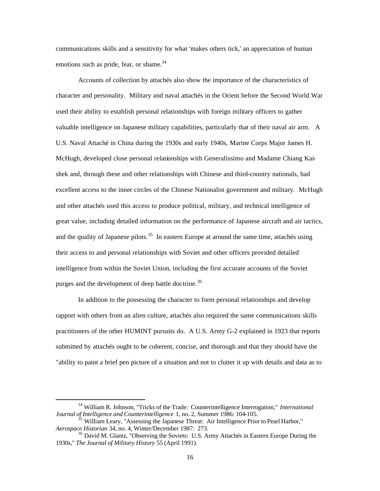communications skills and a sensitivity for what 'makes others tick,' an appreciation of human emotions such as pride, fear, or shame. $34$ 

Accounts of collection by attachés also show the importance of the characteristics of character and personality. Military and naval attachés in the Orient before the Second World War used their ability to establish personal relationships with foreign military officers to gather valuable intelligence on Japanese military capabilities, particularly that of their naval air arm. A U.S. Naval Attaché in China during the 1930s and early 1940s, Marine Corps Major James H. McHugh, developed close personal relationships with Generalissimo and Madame Chiang Kaishek and, through these and other relationships with Chinese and third-country nationals, had excellent access to the inner circles of the Chinese Nationalist government and military. McHugh and other attachés used this access to produce political, military, and technical intelligence of great value, including detailed information on the performance of Japanese aircraft and air tactics, and the quality of Japanese pilots.<sup>35</sup> In eastern Europe at around the same time, attachés using their access to and personal relationships with Soviet and other officers provided detailed intelligence from within the Soviet Union, including the first accurate accounts of the Soviet purges and the development of deep battle doctrine.<sup>36</sup>

In addition to the possessing the character to form personal relationships and develop rapport with others from an alien culture, attachés also required the same communications skills practitioners of the other HUMINT pursuits do. A U.S. Army G-2 explained in 1923 that reports submitted by attachés ought to be coherent, concise, and thorough and that they should have the "ability to paint a brief pen picture of a situation and not to clutter it up with details and data as to

<sup>34</sup> William R. Johnson, "Tricks of the Trade: Counterintelligence Interrogation," *International Journal of Intelligence and Counterintelligence* 1, no. 2, Summer 1986: 104-105.

<sup>&</sup>lt;sup>5</sup> William Leary, "Assessing the Japanese Threat: Air Intelligence Prior to Pearl Harbor," *Aerospace Historian* 34, no. 4, Winter/December 1987: 273.

<sup>&</sup>lt;sup>36</sup> David M. Glantz, "Observing the Soviets: U.S. Army Attachés in Eastern Europe During the 1930s," *The Journal of Military History* 55 (April 1991).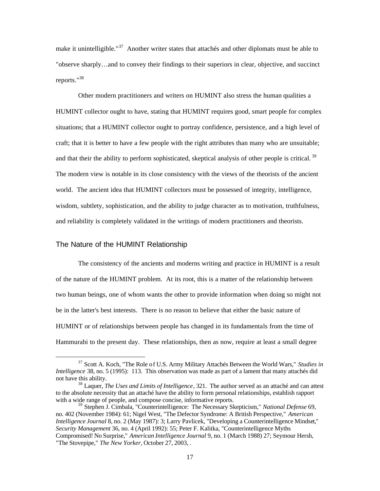make it unintelligible."<sup>37</sup> Another writer states that attachés and other diplomats must be able to "observe sharply…and to convey their findings to their superiors in clear, objective, and succinct reports."<sup>38</sup>

Other modern practitioners and writers on HUMINT also stress the human qualities a HUMINT collector ought to have, stating that HUMINT requires good, smart people for complex situations; that a HUMINT collector ought to portray confidence, persistence, and a high level of craft; that it is better to have a few people with the right attributes than many who are unsuitable; and that their the ability to perform sophisticated, skeptical analysis of other people is critical.<sup>39</sup> The modern view is notable in its close consistency with the views of the theorists of the ancient world. The ancient idea that HUMINT collectors must be possessed of integrity, intelligence, wisdom, subtlety, sophistication, and the ability to judge character as to motivation, truthfulness, and reliability is completely validated in the writings of modern practitioners and theorists.

#### The Nature of the HUMINT Relationship

The consistency of the ancients and moderns writing and practice in HUMINT is a result of the nature of the HUMINT problem. At its root, this is a matter of the relationship between two human beings, one of whom wants the other to provide information when doing so might not be in the latter's best interests. There is no reason to believe that either the basic nature of HUMINT or of relationships between people has changed in its fundamentals from the time of Hammurabi to the present day. These relationships, then as now, require at least a small degree

<sup>&</sup>lt;sup>37</sup> Scott A. Koch, "The Role of U.S. Army Military Attachés Between the World Wars," *Studies in Intelligence* 38, no. 5 (1995): 113. This observation was made as part of a lament that many attachés did not have this ability.

<sup>38</sup> Laquer, *The Uses and Limits of Intelligence*, 321. The author served as an attaché and can attest to the absolute necessity that an attaché have the ability to form personal relationships, establish rapport with a wide range of people, and compose concise, informative reports.

<sup>&</sup>lt;sup>39</sup> Stephen J. Cimbala, "Counterintelligence: The Necessary Skepticism," *National Defense* 69, no. 402 (November 1984): 61; Nigel West, "The Defector Syndrome: A British Perspective," *American Intelligence Journal* 8, no. 2 (May 1987): 3; Larry Pavlicek, "Developing a Counterintelligence Mindset," *Security Management* 36, no. 4 (April 1992): 55; Peter F. Kalitka, "Counterintelligence Myths Compromised! No Surprise," *American Intelligence Journal* 9, no. 1 (March 1988) 27; Seymour Hersh, "The Stovepipe," *The New Yorker*, October 27, 2003, .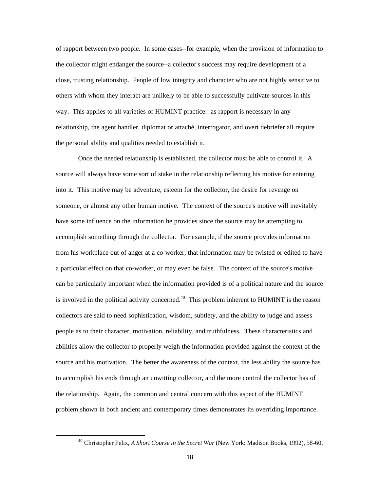of rapport between two people. In some cases--for example, when the provision of information to the collector might endanger the source--a collector's success may require development of a close, trusting relationship. People of low integrity and character who are not highly sensitive to others with whom they interact are unlikely to be able to successfully cultivate sources in this way. This applies to all varieties of HUMINT practice: as rapport is necessary in any relationship, the agent handler, diplomat or attaché, interrogator, and overt debriefer all require the personal ability and qualities needed to establish it.

Once the needed relationship is established, the collector must be able to control it. A source will always have some sort of stake in the relationship reflecting his motive for entering into it. This motive may be adventure, esteem for the collector, the desire for revenge on someone, or almost any other human motive. The context of the source's motive will inevitably have some influence on the information he provides since the source may be attempting to accomplish something through the collector. For example, if the source provides information from his workplace out of anger at a co-worker, that information may be twisted or edited to have a particular effect on that co-worker, or may even be false. The context of the source's motive can be particularly important when the information provided is of a political nature and the source is involved in the political activity concerned.<sup>40</sup> This problem inherent to HUMINT is the reason collectors are said to need sophistication, wisdom, subtlety, and the ability to judge and assess people as to their character, motivation, reliability, and truthfulness. These characteristics and abilities allow the collector to properly weigh the information provided against the context of the source and his motivation. The better the awareness of the context, the less ability the source has to accomplish his ends through an unwitting collector, and the more control the collector has of the relationship. Again, the common and central concern with this aspect of the HUMINT problem shown in both ancient and contemporary times demonstrates its overriding importance.

<sup>40</sup> Christopher Felix, *A Short Course in the Secret War* (New York: Madison Books, 1992), 58-60.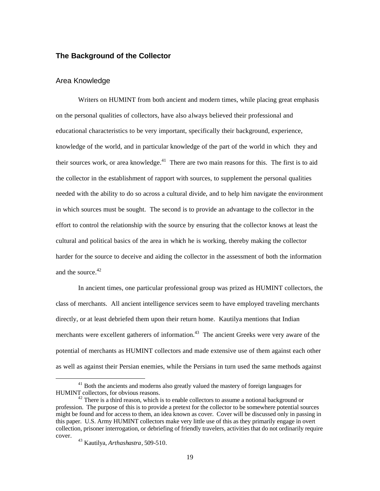### **The Background of the Collector**

#### Area Knowledge

Writers on HUMINT from both ancient and modern times, while placing great emphasis on the personal qualities of collectors, have also always believed their professional and educational characteristics to be very important, specifically their background, experience, knowledge of the world, and in particular knowledge of the part of the world in which they and their sources work, or area knowledge.<sup>41</sup> There are two main reasons for this. The first is to aid the collector in the establishment of rapport with sources, to supplement the personal qualities needed with the ability to do so across a cultural divide, and to help him navigate the environment in which sources must be sought. The second is to provide an advantage to the collector in the effort to control the relationship with the source by ensuring that the collector knows at least the cultural and political basics of the area in which he is working, thereby making the collector harder for the source to deceive and aiding the collector in the assessment of both the information and the source  $42$ 

In ancient times, one particular professional group was prized as HUMINT collectors, the class of merchants. All ancient intelligence services seem to have employed traveling merchants directly, or at least debriefed them upon their return home. Kautilya mentions that Indian merchants were excellent gatherers of information.<sup>43</sup> The ancient Greeks were very aware of the potential of merchants as HUMINT collectors and made extensive use of them against each other as well as against their Persian enemies, while the Persians in turn used the same methods against

<sup>&</sup>lt;sup>41</sup> Both the ancients and moderns also greatly valued the mastery of foreign languages for HUMINT collectors, for obvious reasons.

There is a third reason, which is to enable collectors to assume a notional background or profession. The purpose of this is to provide a pretext for the collector to be somewhere potential sources might be found and for access to them, an idea known as cover. Cover will be discussed only in passing in this paper. U.S. Army HUMINT collectors make very little use of this as they primarily engage in overt collection, prisoner interrogation, or debriefing of friendly travelers, activities that do not ordinarily require cover.

<sup>43</sup> Kautilya, *Arthashastra*, 509-510.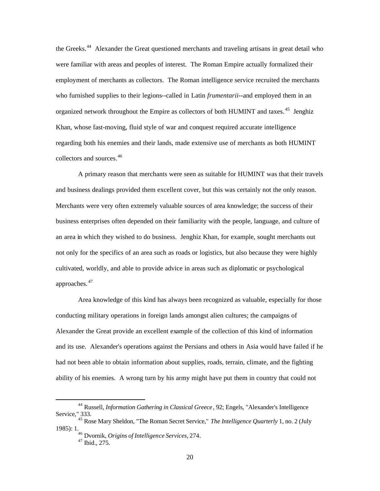the Greeks.<sup>44</sup> Alexander the Great questioned merchants and traveling artisans in great detail who were familiar with areas and peoples of interest. The Roman Empire actually formalized their employment of merchants as collectors. The Roman intelligence service recruited the merchants who furnished supplies to their legions--called in Latin *frumentarii*--and employed them in an organized network throughout the Empire as collectors of both HUMINT and taxes. 45 Jenghiz Khan, whose fast-moving, fluid style of war and conquest required accurate intelligence regarding both his enemies and their lands, made extensive use of merchants as both HUMINT collectors and sources.<sup>46</sup>

A primary reason that merchants were seen as suitable for HUMINT was that their travels and business dealings provided them excellent cover, but this was certainly not the only reason. Merchants were very often extremely valuable sources of area knowledge; the success of their business enterprises often depended on their familiarity with the people, language, and culture of an area in which they wished to do business. Jenghiz Khan, for example, sought merchants out not only for the specifics of an area such as roads or logistics, but also because they were highly cultivated, worldly, and able to provide advice in areas such as diplomatic or psychological approaches. <sup>47</sup>

Area knowledge of this kind has always been recognized as valuable, especially for those conducting military operations in foreign lands amongst alien cultures; the campaigns of Alexander the Great provide an excellent example of the collection of this kind of information and its use. Alexander's operations against the Persians and others in Asia would have failed if he had not been able to obtain information about supplies, roads, terrain, climate, and the fighting ability of his enemies. A wrong turn by his army might have put them in country that could not

<sup>44</sup> Russell, *Information Gathering in Classical Greece* , 92; Engels, "Alexander's Intelligence Service," 333.

<sup>45</sup> Rose Mary Sheldon, "The Roman Secret Service," *The Intelligence Quarterly* 1, no. 2 (July 1985): 1.

<sup>46</sup> Dvornik, *Origins of Intelligence Services*, 274.  $47 \text{ Ibid., } 275.$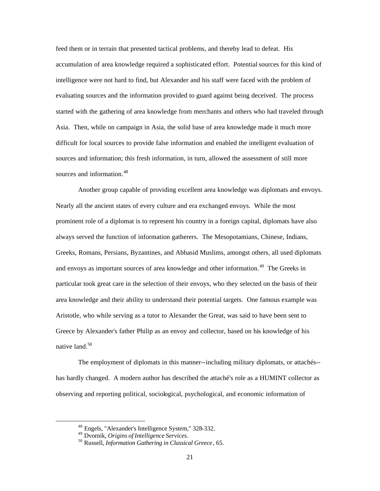feed them or in terrain that presented tactical problems, and thereby lead to defeat. His accumulation of area knowledge required a sophisticated effort. Potential sources for this kind of intelligence were not hard to find, but Alexander and his staff were faced with the problem of evaluating sources and the information provided to guard against being deceived. The process started with the gathering of area knowledge from merchants and others who had traveled through Asia. Then, while on campaign in Asia, the solid base of area knowledge made it much more difficult for local sources to provide false information and enabled the intelligent evaluation of sources and information; this fresh information, in turn, allowed the assessment of still more sources and information.<sup>48</sup>

Another group capable of providing excellent area knowledge was diplomats and envoys. Nearly all the ancient states of every culture and era exchanged envoys. While the most prominent role of a diplomat is to represent his country in a foreign capital, diplomats have also always served the function of information gatherers. The Mesopotamians, Chinese, Indians, Greeks, Romans, Persians, Byzantines, and Abbasid Muslims, amongst others, all used diplomats and envoys as important sources of area knowledge and other information.<sup>49</sup> The Greeks in particular took great care in the selection of their envoys, who they selected on the basis of their area knowledge and their ability to understand their potential targets. One famous example was Aristotle, who while serving as a tutor to Alexander the Great, was said to have been sent to Greece by Alexander's father Philip as an envoy and collector, based on his knowledge of his native land.<sup>50</sup>

The employment of diplomats in this manner--including military diplomats, or attachés- has hardly changed. A modern author has described the attaché's role as a HUMINT collector as observing and reporting political, sociological, psychological, and economic information of

<sup>&</sup>lt;sup>48</sup> Engels, "Alexander's Intelligence System," 328-332.

<sup>&</sup>lt;sup>49</sup> Dvornik, *Origins of Intelligence Services.*<br><sup>50</sup> Russell, *Information Gathering in Classical Greece* , 65.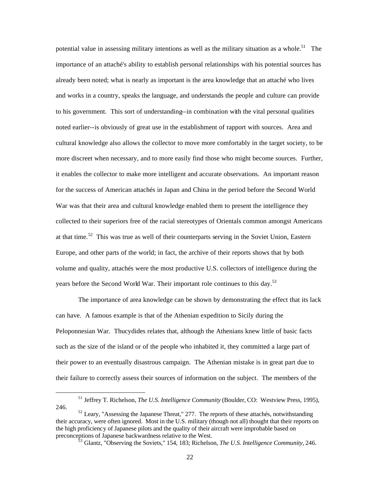potential value in assessing military intentions as well as the military situation as a whole.<sup>51</sup> The importance of an attaché's ability to establish personal relationships with his potential sources has already been noted; what is nearly as important is the area knowledge that an attaché who lives and works in a country, speaks the language, and understands the people and culture can provide to his government. This sort of understanding--in combination with the vital personal qualities noted earlier--is obviously of great use in the establishment of rapport with sources. Area and cultural knowledge also allows the collector to move more comfortably in the target society, to be more discreet when necessary, and to more easily find those who might become sources. Further, it enables the collector to make more intelligent and accurate observations. An important reason for the success of American attachés in Japan and China in the period before the Second World War was that their area and cultural knowledge enabled them to present the intelligence they collected to their superiors free of the racial stereotypes of Orientals common amongst Americans at that time.<sup>52</sup> This was true as well of their counterparts serving in the Soviet Union, Eastern Europe, and other parts of the world; in fact, the archive of their reports shows that by both volume and quality, attachés were the most productive U.S. collectors of intelligence during the years before the Second World War. Their important role continues to this day.<sup>53</sup>

The importance of area knowledge can be shown by demonstrating the effect that its lack can have. A famous example is that of the Athenian expedition to Sicily during the Peloponnesian War. Thucydides relates that, although the Athenians knew little of basic facts such as the size of the island or of the people who inhabited it, they committed a large part of their power to an eventually disastrous campaign. The Athenian mistake is in great part due to their failure to correctly assess their sources of information on the subject. The members of the

<sup>51</sup> Jeffrey T. Richelson, *The U.S. Intelligence Community* (Boulder, CO: Westview Press, 1995), 246.

 $52$  Leary, "Assessing the Japanese Threat," 277. The reports of these attachés, notwithstanding their accuracy, were often ignored. Most in the U.S. military (though not all) thought that their reports on the high proficiency of Japanese pilots and the quality of their aircraft were improbable based on preconceptions of Japanese backwardness relative to the West.

Glantz, "Observing the Soviets," 154, 183; Richelson, *The U.S. Intelligence Community*, 246.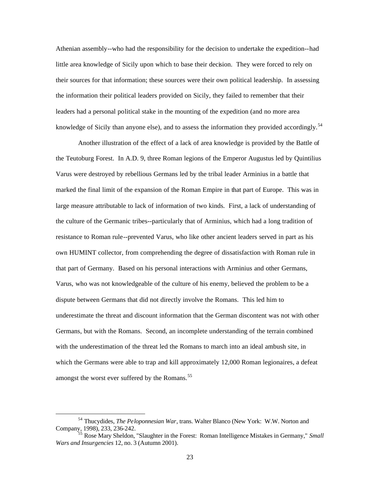Athenian assembly--who had the responsibility for the decision to undertake the expedition--had little area knowledge of Sicily upon which to base their decision. They were forced to rely on their sources for that information; these sources were their own political leadership. In assessing the information their political leaders provided on Sicily, they failed to remember that their leaders had a personal political stake in the mounting of the expedition (and no more area knowledge of Sicily than anyone else), and to assess the information they provided accordingly.<sup>54</sup>

Another illustration of the effect of a lack of area knowledge is provided by the Battle of the Teutoburg Forest. In A.D. 9, three Roman legions of the Emperor Augustus led by Quintilius Varus were destroyed by rebellious Germans led by the tribal leader Arminius in a battle that marked the final limit of the expansion of the Roman Empire in that part of Europe. This was in large measure attributable to lack of information of two kinds. First, a lack of understanding of the culture of the Germanic tribes--particularly that of Arminius, which had a long tradition of resistance to Roman rule--prevented Varus, who like other ancient leaders served in part as his own HUMINT collector, from comprehending the degree of dissatisfaction with Roman rule in that part of Germany. Based on his personal interactions with Arminius and other Germans, Varus, who was not knowledgeable of the culture of his enemy, believed the problem to be a dispute between Germans that did not directly involve the Romans. This led him to underestimate the threat and discount information that the German discontent was not with other Germans, but with the Romans. Second, an incomplete understanding of the terrain combined with the underestimation of the threat led the Romans to march into an ideal ambush site, in which the Germans were able to trap and kill approximately 12,000 Roman legionaires, a defeat amongst the worst ever suffered by the Romans.<sup>55</sup>

<sup>54</sup> Thucydides, *The Peloponnesian War*, trans. Walter Blanco (New York: W.W. Norton and Company, 1998), 233, 236-242.

<sup>55</sup> Rose Mary Sheldon, "Slaughter in the Forest: Roman Intelligence Mistakes in Germany," *Small Wars and Insurgencies* 12, no. 3 (Autumn 2001).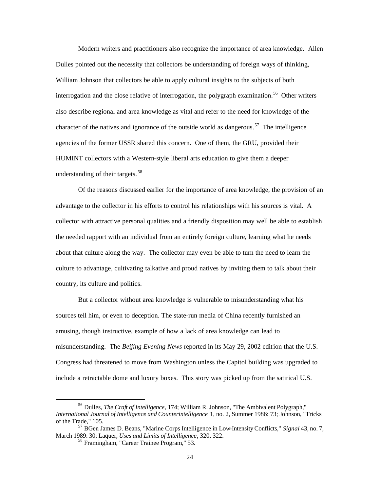Modern writers and practitioners also recognize the importance of area knowledge. Allen Dulles pointed out the necessity that collectors be understanding of foreign ways of thinking, William Johnson that collectors be able to apply cultural insights to the subjects of both interrogation and the close relative of interrogation, the polygraph examination.<sup>56</sup> Other writers also describe regional and area knowledge as vital and refer to the need for knowledge of the character of the natives and ignorance of the outside world as dangerous.<sup>57</sup> The intelligence agencies of the former USSR shared this concern. One of them, the GRU, provided their HUMINT collectors with a Western-style liberal arts education to give them a deeper understanding of their targets. 58

Of the reasons discussed earlier for the importance of area knowledge, the provision of an advantage to the collector in his efforts to control his relationships with his sources is vital. A collector with attractive personal qualities and a friendly disposition may well be able to establish the needed rapport with an individual from an entirely foreign culture, learning what he needs about that culture along the way. The collector may even be able to turn the need to learn the culture to advantage, cultivating talkative and proud natives by inviting them to talk about their country, its culture and politics.

But a collector without area knowledge is vulnerable to misunderstanding what his sources tell him, or even to deception. The state-run media of China recently furnished an amusing, though instructive, example of how a lack of area knowledge can lead to misunderstanding. The *Beijing Evening News* reported in its May 29, 2002 edit ion that the U.S. Congress had threatened to move from Washington unless the Capitol building was upgraded to include a retractable dome and luxury boxes. This story was picked up from the satirical U.S.

<sup>56</sup> Dulles, *The Craft of Intelligence*, 174; William R. Johnson, "The Ambivalent Polygraph," *International Journal of Intelligence and Counterintelligence* 1, no. 2, Summer 1986: 73; Johnson, "Tricks of the Trade," 105.

<sup>57</sup> BGen James D. Beans, "Marine Corps Intelligence in Low-Intensity Conflicts," *Signal* 43, no. 7, March 1989: 30; Laquer, *Uses and Limits of Intelligence*, 320, 322.

<sup>58</sup> Framingham, "Career Trainee Program," 53.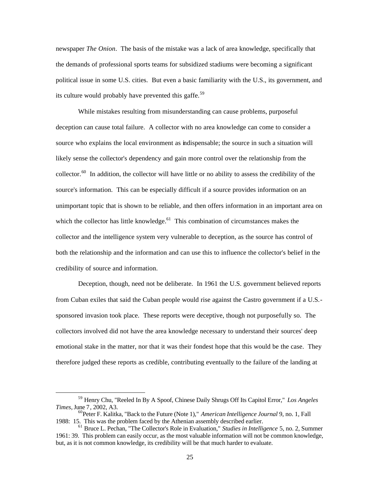newspaper *The Onion*. The basis of the mistake was a lack of area knowledge, specifically that the demands of professional sports teams for subsidized stadiums were becoming a significant political issue in some U.S. cities. But even a basic familiarity with the U.S., its government, and its culture would probably have prevented this gaffe.<sup>59</sup>

While mistakes resulting from misunderstanding can cause problems, purposeful deception can cause total failure. A collector with no area knowledge can come to consider a source who explains the local environment as indispensable; the source in such a situation will likely sense the collector's dependency and gain more control over the relationship from the collector.60 In addition, the collector will have little or no ability to assess the credibility of the source's information. This can be especially difficult if a source provides information on an unimportant topic that is shown to be reliable, and then offers information in an important area on which the collector has little knowledge. $61$  This combination of circumstances makes the collector and the intelligence system very vulnerable to deception, as the source has control of both the relationship and the information and can use this to influence the collector's belief in the credibility of source and information.

Deception, though, need not be deliberate. In 1961 the U.S. government believed reports from Cuban exiles that said the Cuban people would rise against the Castro government if a U.S. sponsored invasion took place. These reports were deceptive, though not purposefully so. The collectors involved did not have the area knowledge necessary to understand their sources' deep emotional stake in the matter, nor that it was their fondest hope that this would be the case. They therefore judged these reports as credible, contributing eventually to the failure of the landing at

<sup>59</sup> Henry Chu, "Reeled In By A Spoof, Chinese Daily Shrugs Off Its Capitol Error," *Los Angeles Times*, June 7 , 2002, A3.

<sup>60</sup>Peter F. Kalitka, "Back to the Future (Note 1)," *American Intelligence Journal* 9, no. 1, Fall 1988: 15. This was the problem faced by the Athenian assembly described earlier.

<sup>61</sup> Bruce L. Pechan, "The Collector's Role in Evaluation," *Studies in Intelligence* 5, no. 2, Summer 1961: 39. This problem can easily occur, as the most valuable information will not be common knowledge, but, as it is not common knowledge, its credibility will be that much harder to evaluate.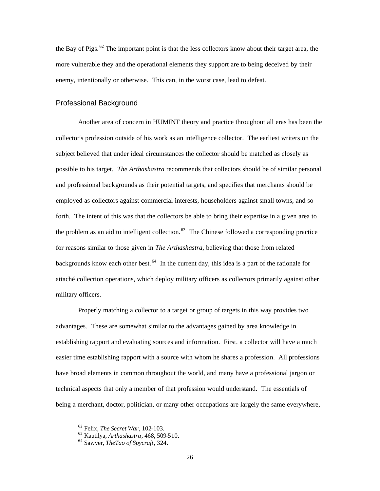the Bay of Pigs. 62 The important point is that the less collectors know about their target area, the more vulnerable they and the operational elements they support are to being deceived by their enemy, intentionally or otherwise. This can, in the worst case, lead to defeat.

### Professional Background

Another area of concern in HUMINT theory and practice throughout all eras has been the collector's profession outside of his work as an intelligence collector. The earliest writers on the subject believed that under ideal circumstances the collector should be matched as closely as possible to his target. *The Arthashastra* recommends that collectors should be of similar personal and professional backgrounds as their potential targets, and specifies that merchants should be employed as collectors against commercial interests, householders against small towns, and so forth. The intent of this was that the collectors be able to bring their expertise in a given area to the problem as an aid to intelligent collection.<sup>63</sup> The Chinese followed a corresponding practice for reasons similar to those given in *The Arthashastra*, believing that those from related backgrounds know each other best.<sup>64</sup> In the current day, this idea is a part of the rationale for attaché collection operations, which deploy military officers as collectors primarily against other military officers.

Properly matching a collector to a target or group of targets in this way provides two advantages. These are somewhat similar to the advantages gained by area knowledge in establishing rapport and evaluating sources and information. First, a collector will have a much easier time establishing rapport with a source with whom he shares a profession. All professions have broad elements in common throughout the world, and many have a professional jargon or technical aspects that only a member of that profession would understand. The essentials of being a merchant, doctor, politician, or many other occupations are largely the same everywhere,

<sup>62</sup> Felix, *The Secret War*, 102-103.

<sup>63</sup> Kautilya, *Arthashastra*, 468, 509-510.

<sup>64</sup> Sawyer, *TheTao of Spycraft*, 324.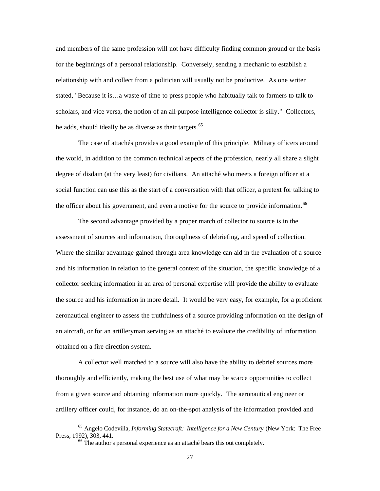and members of the same profession will not have difficulty finding common ground or the basis for the beginnings of a personal relationship. Conversely, sending a mechanic to establish a relationship with and collect from a politician will usually not be productive. As one writer stated, "Because it is…a waste of time to press people who habitually talk to farmers to talk to scholars, and vice versa, the notion of an all-purpose intelligence collector is silly." Collectors, he adds, should ideally be as diverse as their targets.<sup>65</sup>

The case of attachés provides a good example of this principle. Military officers around the world, in addition to the common technical aspects of the profession, nearly all share a slight degree of disdain (at the very least) for civilians. An attaché who meets a foreign officer at a social function can use this as the start of a conversation with that officer, a pretext for talking to the officer about his government, and even a motive for the source to provide information.<sup>66</sup>

The second advantage provided by a proper match of collector to source is in the assessment of sources and information, thoroughness of debriefing, and speed of collection. Where the similar advantage gained through area knowledge can aid in the evaluation of a source and his information in relation to the general context of the situation, the specific knowledge of a collector seeking information in an area of personal expertise will provide the ability to evaluate the source and his information in more detail. It would be very easy, for example, for a proficient aeronautical engineer to assess the truthfulness of a source providing information on the design of an aircraft, or for an artilleryman serving as an attaché to evaluate the credibility of information obtained on a fire direction system.

A collector well matched to a source will also have the ability to debrief sources more thoroughly and efficiently, making the best use of what may be scarce opportunities to collect from a given source and obtaining information more quickly. The aeronautical engineer or artillery officer could, for instance, do an on-the-spot analysis of the information provided and

<sup>65</sup> Angelo Codevilla, *Informing Statecraft: Intelligence for a New Century* (New York: The Free Press, 1992), 303, 441.<br><sup>66</sup> The author's personal experience as an attaché bears this out completely.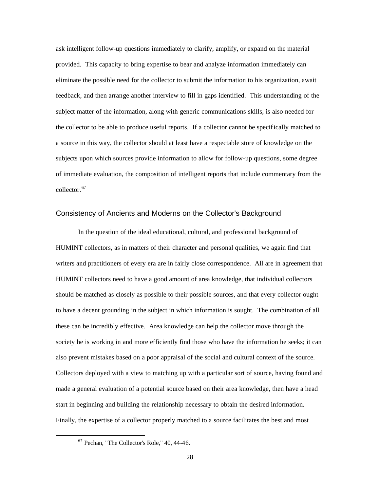ask intelligent follow-up questions immediately to clarify, amplify, or expand on the material provided. This capacity to bring expertise to bear and analyze information immediately can eliminate the possible need for the collector to submit the information to his organization, await feedback, and then arrange another interview to fill in gaps identified. This understanding of the subject matter of the information, along with generic communications skills, is also needed for the collector to be able to produce useful reports. If a collector cannot be specif ically matched to a source in this way, the collector should at least have a respectable store of knowledge on the subjects upon which sources provide information to allow for follow-up questions, some degree of immediate evaluation, the composition of intelligent reports that include commentary from the collector.<sup>67</sup>

#### Consistency of Ancients and Moderns on the Collector's Background

In the question of the ideal educational, cultural, and professional background of HUMINT collectors, as in matters of their character and personal qualities, we again find that writers and practitioners of every era are in fairly close correspondence. All are in agreement that HUMINT collectors need to have a good amount of area knowledge, that individual collectors should be matched as closely as possible to their possible sources, and that every collector ought to have a decent grounding in the subject in which information is sought. The combination of all these can be incredibly effective. Area knowledge can help the collector move through the society he is working in and more efficiently find those who have the information he seeks; it can also prevent mistakes based on a poor appraisal of the social and cultural context of the source. Collectors deployed with a view to matching up with a particular sort of source, having found and made a general evaluation of a potential source based on their area knowledge, then have a head start in beginning and building the relationship necessary to obtain the desired information. Finally, the expertise of a collector properly matched to a source facilitates the best and most

 $67$  Pechan, "The Collector's Role," 40, 44-46.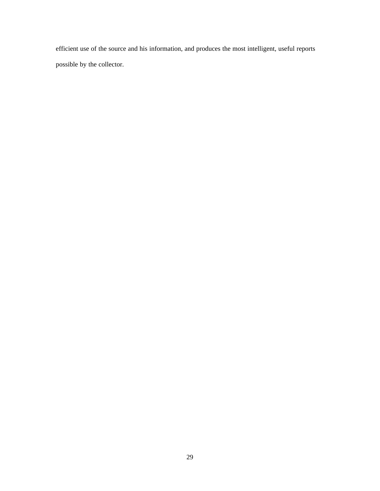efficient use of the source and his information, and produces the most intelligent, useful reports possible by the collector.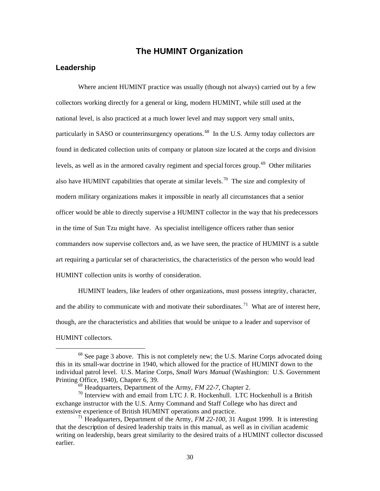## **The HUMINT Organization**

#### **Leadership**

Where ancient HUMINT practice was usually (though not always) carried out by a few collectors working directly for a general or king, modern HUMINT, while still used at the national level, is also practiced at a much lower level and may support very small units, particularly in SASO or counterinsurgency operations.<sup>68</sup> In the U.S. Army today collectors are found in dedicated collection units of company or platoon size located at the corps and division levels, as well as in the armored cavalry regiment and special forces group.<sup>69</sup> Other militaries also have HUMINT capabilities that operate at similar levels.<sup>70</sup> The size and complexity of modern military organizations makes it impossible in nearly all circumstances that a senior officer would be able to directly supervise a HUMINT collector in the way that his predecessors in the time of Sun Tzu might have. As specialist intelligence officers rather than senior commanders now supervise collectors and, as we have seen, the practice of HUMINT is a subtle art requiring a particular set of characteristics, the characteristics of the person who would lead HUMINT collection units is worthy of consideration.

HUMINT leaders, like leaders of other organizations, must possess integrity, character, and the ability to communicate with and motivate their subordinates.<sup>71</sup> What are of interest here, though, are the characteristics and abilities that would be unique to a leader and supervisor of HUMINT collectors.

 $68$  See page 3 above. This is not completely new; the U.S. Marine Corps advocated doing this in its small-war doctrine in 1940, which allowed for the practice of HUMINT down to the individual patrol level. U.S. Marine Corps, *Small Wars Manual* (Washington: U.S. Government Printing Office, 1940), Chapter 6, 39.

<sup>69</sup> Headquarters, Department of the Army, *FM 22-7*, Chapter 2.

 $70$  Interview with and email from LTC J. R. Hockenhull. LTC Hockenhull is a British exchange instructor with the U.S. Army Command and Staff College who has direct and extensive experience of British HUMINT operations and practice.

<sup>71</sup> Headquarters, Department of the Army, *FM 22-100*, 31 August 1999. It is interesting that the description of desired leadership traits in this manual, as well as in civilian academic writing on leadership, bears great similarity to the desired traits of a HUMINT collector discussed earlier.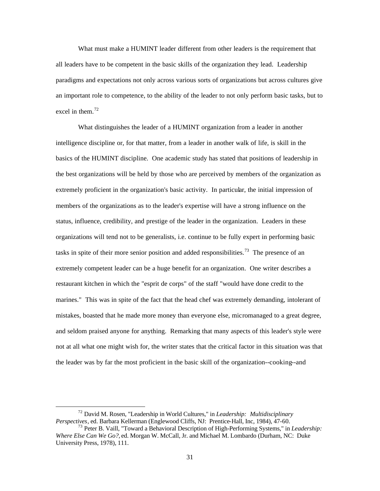What must make a HUMINT leader different from other leaders is the requirement that all leaders have to be competent in the basic skills of the organization they lead. Leadership paradigms and expectations not only across various sorts of organizations but across cultures give an important role to competence, to the ability of the leader to not only perform basic tasks, but to excel in them.<sup>72</sup>

What distinguishes the leader of a HUMINT organization from a leader in another intelligence discipline or, for that matter, from a leader in another walk of life, is skill in the basics of the HUMINT discipline. One academic study has stated that positions of leadership in the best organizations will be held by those who are perceived by members of the organization as extremely proficient in the organization's basic activity. In particular, the initial impression of members of the organizations as to the leader's expertise will have a strong influence on the status, influence, credibility, and prestige of the leader in the organization. Leaders in these organizations will tend not to be generalists, i.e. continue to be fully expert in performing basic tasks in spite of their more senior position and added responsibilities.<sup>73</sup> The presence of an extremely competent leader can be a huge benefit for an organization. One writer describes a restaurant kitchen in which the "esprit de corps" of the staff "would have done credit to the marines." This was in spite of the fact that the head chef was extremely demanding, intolerant of mistakes, boasted that he made more money than everyone else, micromanaged to a great degree, and seldom praised anyone for anything. Remarking that many aspects of this leader's style were not at all what one might wish for, the writer states that the critical factor in this situation was that the leader was by far the most proficient in the basic skill of the organization--cooking--and

<sup>72</sup> David M. Rosen, "Leadership in World Cultures," in *Leadership: Multidisciplinary Perspectives*, ed. Barbara Kellerman (Englewood Cliffs, NJ: Prentice-Hall, Inc, 1984), 47-60.

<sup>73</sup> Peter B. Vaill, "Toward a Behavioral Description of High-Performing Systems," in *Leadership: Where Else Can We Go?,* ed. Morgan W. McCall, Jr. and Michael M. Lombardo (Durham, NC: Duke University Press, 1978), 111.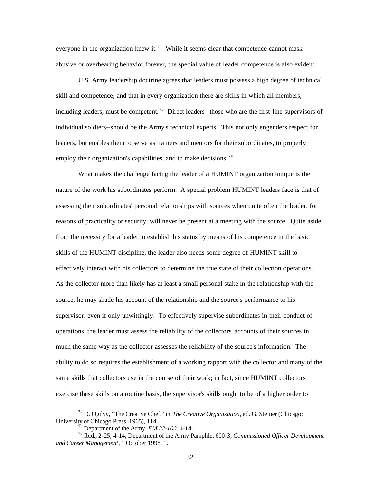everyone in the organization knew it.<sup>74</sup> While it seems clear that competence cannot mask abusive or overbearing behavior forever, the special value of leader competence is also evident.

U.S. Army leadership doctrine agrees that leaders must possess a high degree of technical skill and competence, and that in every organization there are skills in which all members, including leaders, must be competent.<sup>75</sup> Direct leaders--those who are the first-line supervisors of individual soldiers--should be the Army's technical experts. This not only engenders respect for leaders, but enables them to serve as trainers and mentors for their subordinates, to properly employ their organization's capabilities, and to make decisions.<sup>76</sup>

What makes the challenge facing the leader of a HUMINT organization unique is the nature of the work his subordinates perform. A special problem HUMINT leaders face is that of assessing their subordinates' personal relationships with sources when quite often the leader, for reasons of practicality or security, will never be present at a meeting with the source. Quite aside from the necessity for a leader to establish his status by means of his competence in the basic skills of the HUMINT discipline, the leader also needs some degree of HUMINT skill to effectively interact with his collectors to determine the true state of their collection operations. As the collector more than likely has at least a small personal stake in the relationship with the source, he may shade his account of the relationship and the source's performance to his supervisor, even if only unwittingly. To effectively supervise subordinates in their conduct of operations, the leader must assess the reliability of the collectors' accounts of their sources in much the same way as the collector assesses the reliability of the source's information. The ability to do so requires the establishment of a working rapport with the collector and many of the same skills that collectors use in the course of their work; in fact, since HUMINT collectors exercise these skills on a routine basis, the supervisor's skills ought to be of a higher order to

<sup>74</sup> D. Ogilvy, "The Creative Chef," in *The Creative Organization*, ed. G. Steiner (Chicago: University of Chicago Press, 1965), 114.<br> $^{75}$  Department of the Army, *FM* 22-100, 4-14.

<sup>&</sup>lt;sup>76</sup> Ibid., 2-25, 4-14; Department of the Army Pamphlet 600-3, *Commissioned Officer Development and Career Management*, 1 October 1998, 1.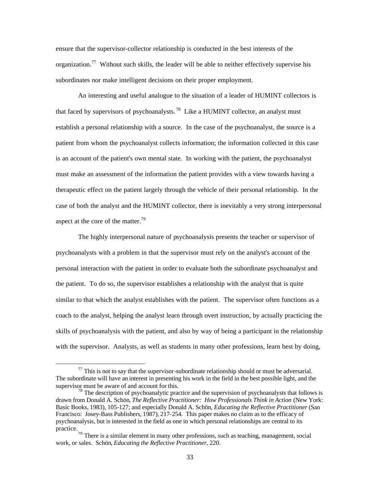ensure that the supervisor-collector relationship is conducted in the best interests of the organization.<sup>77</sup> Without such skills, the leader will be able to neither effectively supervise his subordinates nor make intelligent decisions on their proper employment.

An interesting and useful analogue to the situation of a leader of HUMINT collectors is that faced by supervisors of psychoanalysts.<sup>78</sup> Like a HUMINT collector, an analyst must establish a personal relationship with a source. In the case of the psychoanalyst, the source is a patient from whom the psychoanalyst collects information; the information collected in this case is an account of the patient's own mental state. In working with the patient, the psychoanalyst must make an assessment of the information the patient provides with a view towards having a therapeutic effect on the patient largely through the vehicle of their personal relationship. In the case of both the analyst and the HUMINT collector, there is inevitably a very strong interpersonal aspect at the core of the matter.<sup>79</sup>

The highly interpersonal nature of psychoanalysis presents the teacher or supervisor of psychoanalysts with a problem in that the supervisor must rely on the analyst's account of the personal interaction with the patient in order to evaluate both the subordinate psychoanalyst and the patient. To do so, the supervisor establishes a relationship with the analyst that is quite similar to that which the analyst establishes with the patient. The supervisor often functions as a coach to the analyst, helping the analyst learn through overt instruction, by actually practicing the skills of psychoanalysis with the patient, and also by way of being a participant in the relationship with the supervisor. Analysts, as well as students in many other professions, learn best by doing,

 $<sup>77</sup>$  This is not to say that the supervisor-subordinate relationship should or must be adversarial.</sup> The subordinate will have an interest in presenting his work in the field in the best possible light, and the supervisor must be aware of and account for this.<br><sup>78</sup> The description of psychoanalytic practice and the supervision of psychoanalysts that follows is

drawn from Donald A. Schön, *The Reflective Practitioner: How Professionals Think in Action* (New York: Basic Books, 1983), 105-127; and especially Donald A. Schön, *Educating the Reflective Practitioner* (San Francisco: Josey-Bass Publishers, 1987), 217-254. This paper makes no claim as to the efficacy of psychoanalysis, but is interested in the field as one in which personal relationships are central to its practice.

 $79$  There is a similar element in many other professions, such as teaching, management, social work, or sales. Schön, *Educating the Reflective Practitioner*, 220.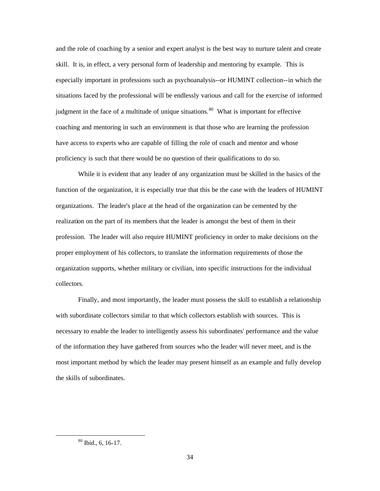and the role of coaching by a senior and expert analyst is the best way to nurture talent and create skill. It is, in effect, a very personal form of leadership and mentoring by example. This is especially important in professions such as psychoanalysis--or HUMINT collection--in which the situations faced by the professional will be endlessly various and call for the exercise of informed judgment in the face of a multitude of unique situations.<sup>80</sup> What is important for effective coaching and mentoring in such an environment is that those who are learning the profession have access to experts who are capable of filling the role of coach and mentor and whose proficiency is such that there would be no question of their qualifications to do so.

While it is evident that any leader of any organization must be skilled in the basics of the function of the organization, it is especially true that this be the case with the leaders of HUMINT organizations. The leader's place at the head of the organization can be cemented by the realization on the part of its members that the leader is amongst the best of them in their profession. The leader will also require HUMINT proficiency in order to make decisions on the proper employment of his collectors, to translate the information requirements of those the organization supports, whether military or civilian, into specific instructions for the individual collectors.

Finally, and most importantly, the leader must possess the skill to establish a relationship with subordinate collectors similar to that which collectors establish with sources. This is necessary to enable the leader to intelligently assess his subordinates' performance and the value of the information they have gathered from sources who the leader will never meet, and is the most important method by which the leader may present himself as an example and fully develop the skills of subordinates.

<sup>80</sup> Ibid., 6, 16-17.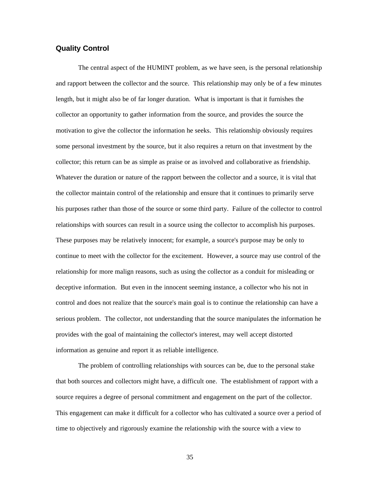### **Quality Control**

The central aspect of the HUMINT problem, as we have seen, is the personal relationship and rapport between the collector and the source. This relationship may only be of a few minutes length, but it might also be of far longer duration. What is important is that it furnishes the collector an opportunity to gather information from the source, and provides the source the motivation to give the collector the information he seeks. This relationship obviously requires some personal investment by the source, but it also requires a return on that investment by the collector; this return can be as simple as praise or as involved and collaborative as friendship. Whatever the duration or nature of the rapport between the collector and a source, it is vital that the collector maintain control of the relationship and ensure that it continues to primarily serve his purposes rather than those of the source or some third party. Failure of the collector to control relationships with sources can result in a source using the collector to accomplish his purposes. These purposes may be relatively innocent; for example, a source's purpose may be only to continue to meet with the collector for the excitement. However, a source may use control of the relationship for more malign reasons, such as using the collector as a conduit for misleading or deceptive information. But even in the innocent seeming instance, a collector who his not in control and does not realize that the source's main goal is to continue the relationship can have a serious problem. The collector, not understanding that the source manipulates the information he provides with the goal of maintaining the collector's interest, may well accept distorted information as genuine and report it as reliable intelligence.

The problem of controlling relationships with sources can be, due to the personal stake that both sources and collectors might have, a difficult one. The establishment of rapport with a source requires a degree of personal commitment and engagement on the part of the collector. This engagement can make it difficult for a collector who has cultivated a source over a period of time to objectively and rigorously examine the relationship with the source with a view to

35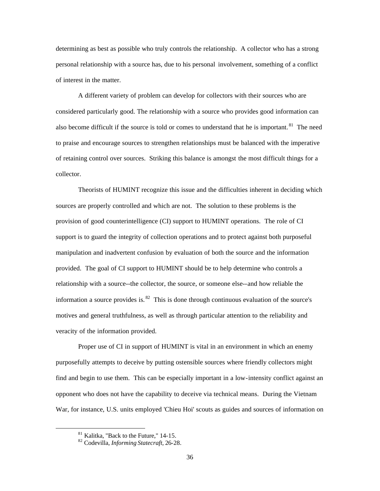determining as best as possible who truly controls the relationship. A collector who has a strong personal relationship with a source has, due to his personal involvement, something of a conflict of interest in the matter.

A different variety of problem can develop for collectors with their sources who are considered particularly good. The relationship with a source who provides good information can also become difficult if the source is told or comes to understand that he is important.<sup>81</sup> The need to praise and encourage sources to strengthen relationships must be balanced with the imperative of retaining control over sources. Striking this balance is amongst the most difficult things for a collector.

Theorists of HUMINT recognize this issue and the difficulties inherent in deciding which sources are properly controlled and which are not. The solution to these problems is the provision of good counterintelligence (CI) support to HUMINT operations. The role of CI support is to guard the integrity of collection operations and to protect against both purposeful manipulation and inadvertent confusion by evaluation of both the source and the information provided. The goal of CI support to HUMINT should be to help determine who controls a relationship with a source--the collector, the source, or someone else--and how reliable the information a source provides is.  $82$  This is done through continuous evaluation of the source's motives and general truthfulness, as well as through particular attention to the reliability and veracity of the information provided.

Proper use of CI in support of HUMINT is vital in an environment in which an enemy purposefully attempts to deceive by putting ostensible sources where friendly collectors might find and begin to use them. This can be especially important in a low-intensity conflict against an opponent who does not have the capability to deceive via technical means. During the Vietnam War, for instance, U.S. units employed 'Chieu Hoi' scouts as guides and sources of information on

 $81$  Kalitka, "Back to the Future," 14-15.

<sup>82</sup> Codevilla, *Informing Statecraft*, 26-28.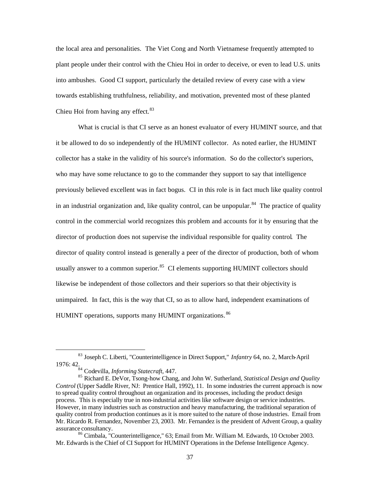the local area and personalities. The Viet Cong and North Vietnamese frequently attempted to plant people under their control with the Chieu Hoi in order to deceive, or even to lead U.S. units into ambushes. Good CI support, particularly the detailed review of every case with a view towards establishing truthfulness, reliability, and motivation, prevented most of these planted Chieu Hoi from having any effect.  $83$ 

What is crucial is that CI serve as an honest evaluator of every HUMINT source, and that it be allowed to do so independently of the HUMINT collector. As noted earlier, the HUMINT collector has a stake in the validity of his source's information. So do the collector's superiors, who may have some reluctance to go to the commander they support to say that intelligence previously believed excellent was in fact bogus. CI in this role is in fact much like quality control in an industrial organization and, like quality control, can be unpopular.<sup>84</sup> The practice of quality control in the commercial world recognizes this problem and accounts for it by ensuring that the director of production does not supervise the individual responsible for quality control. The director of quality control instead is generally a peer of the director of production, both of whom usually answer to a common superior.<sup>85</sup> CI elements supporting HUMINT collectors should likewise be independent of those collectors and their superiors so that their objectivity is unimpaired. In fact, this is the way that CI, so as to allow hard, independent examinations of HUMINT operations, supports many HUMINT organizations. 86

<sup>83</sup> Joseph C. Liberti, "Counterintelligence in Direct Support," *Infantry* 64, no. 2, March-April 1976: 42.

<sup>84</sup> Codevilla, *Informing Statecraft*, 447.

<sup>85</sup> Richard E. DeVor, Tsong-how Chang, and John W. Sutherland, *Statistical Design and Quality Control* (Upper Saddle River, NJ: Prentice Hall, 1992), 11. In some industries the current approach is now to spread quality control throughout an organization and its processes, including the product design process. This is especially true in non-industrial activities like software design or service industries. However, in many industries such as construction and heavy manufacturing, the traditional separation of quality control from production continues as it is more suited to the nature of those industries. Email from Mr. Ricardo R. Fernandez, November 23, 2003. Mr. Fernandez is the president of Advent Group, a quality

<sup>&</sup>lt;sup>86</sup> Cimbala, "Counterintelligence," 63; Email from Mr. William M. Edwards, 10 October 2003. Mr. Edwards is the Chief of CI Support for HUMINT Operations in the Defense Intelligence Agency.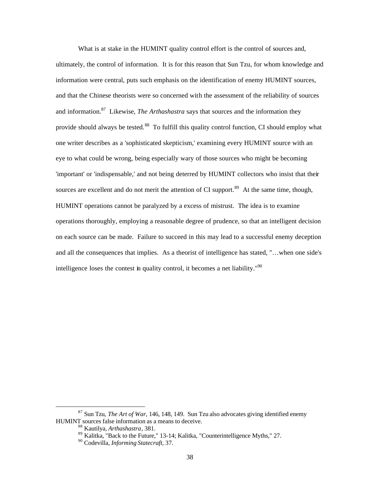What is at stake in the HUMINT quality control effort is the control of sources and, ultimately, the control of information. It is for this reason that Sun Tzu, for whom knowledge and information were central, puts such emphasis on the identification of enemy HUMINT sources, and that the Chinese theorists were so concerned with the assessment of the reliability of sources and information.87 Likewise, *The Arthashastra* says that sources and the information they provide should always be tested.<sup>88</sup> To fulfill this quality control function, CI should employ what one writer describes as a 'sophisticated skepticism,' examining every HUMINT source with an eye to what could be wrong, being especially wary of those sources who might be becoming 'important' or 'indispensable,' and not being deterred by HUMINT collectors who insist that their sources are excellent and do not merit the attention of CI support.<sup>89</sup> At the same time, though, HUMINT operations cannot be paralyzed by a excess of mistrust. The idea is to examine operations thoroughly, employing a reasonable degree of prudence, so that an intelligent decision on each source can be made. Failure to succeed in this may lead to a successful enemy deception and all the consequences that implies. As a theorist of intelligence has stated, "…when one side's intelligence loses the contest in quality control, it becomes a net liability.<sup>"90</sup>

<sup>87</sup> Sun Tzu, *The Art of War*, 146, 148, 149. Sun Tzu also advocates giving identified enemy HUMINT sources false information as a means to deceive.

<sup>88</sup> Kautilya, *Arthashastra*, 381.

<sup>89</sup> Kalitka, "Back to the Future," 13-14; Kalitka, "Counterintelligence Myths," 27. 90 Codevilla, *Informing Statecraft*, 37.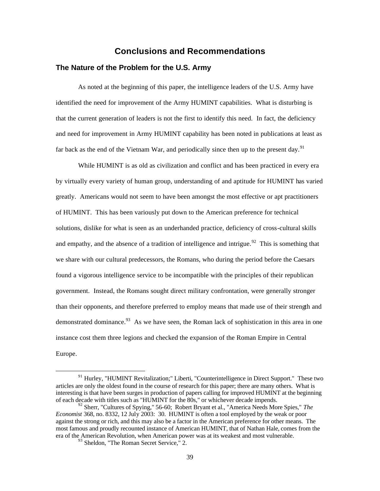## **Conclusions and Recommendations**

#### **The Nature of the Problem for the U.S. Army**

As noted at the beginning of this paper, the intelligence leaders of the U.S. Army have identified the need for improvement of the Army HUMINT capabilities. What is disturbing is that the current generation of leaders is not the first to identify this need. In fact, the deficiency and need for improvement in Army HUMINT capability has been noted in publications at least as far back as the end of the Vietnam War, and periodically since then up to the present day.<sup>91</sup>

While HUMINT is as old as civilization and conflict and has been practiced in every era by virtually every variety of human group, understanding of and aptitude for HUMINT has varied greatly. Americans would not seem to have been amongst the most effective or apt practitioners of HUMINT. This has been variously put down to the American preference for technical solutions, dislike for what is seen as an underhanded practice, deficiency of cross-cultural skills and empathy, and the absence of a tradition of intelligence and intrigue.<sup>92</sup> This is something that we share with our cultural predecessors, the Romans, who during the period before the Caesars found a vigorous intelligence service to be incompatible with the principles of their republican government. Instead, the Romans sought direct military confrontation, were generally stronger than their opponents, and therefore preferred to employ means that made use of their strength and demonstrated dominance.  $93$  As we have seen, the Roman lack of sophistication in this area in one instance cost them three legions and checked the expansion of the Roman Empire in Central Europe.

 $91$  Hurley, "HUMINT Revitalization;" Liberti, "Counterintelligence in Direct Support." These two articles are only the oldest found in the course of research for this paper; there are many others. What is interesting is that have been surges in production of papers calling for improved HUMINT at the beginning of each decade with titles such as "HUMINT for the 80s," or whichever decade impends.

<sup>&</sup>lt;sup>92</sup> Sherr, "Cultures of Spying," 56-60; Robert Bryant et al., "America Needs More Spies," *The Economist* 368, no. 8332, 12 July 2003: 30. HUMINT is often a tool employed by the weak or poor against the strong or rich, and this may also be a factor in the American preference for other means. The most famous and proudly recounted instance of American HUMINT, that of Nathan Hale, comes from the era of the American Revolution, when American power was at its weakest and most vulnerable.<br><sup>93</sup> Sheldon, "The Roman Secret Service," 2.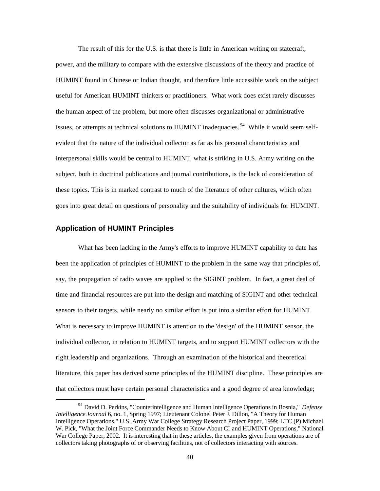The result of this for the U.S. is that there is little in American writing on statecraft, power, and the military to compare with the extensive discussions of the theory and practice of HUMINT found in Chinese or Indian thought, and therefore little accessible work on the subject useful for American HUMINT thinkers or practitioners. What work does exist rarely discusses the human aspect of the problem, but more often discusses organizational or administrative issues, or attempts at technical solutions to HUMINT inadequacies.<sup>94</sup> While it would seem selfevident that the nature of the individual collector as far as his personal characteristics and interpersonal skills would be central to HUMINT, what is striking in U.S. Army writing on the subject, both in doctrinal publications and journal contributions, is the lack of consideration of these topics. This is in marked contrast to much of the literature of other cultures, which often goes into great detail on questions of personality and the suitability of individuals for HUMINT.

### **Application of HUMINT Principles**

What has been lacking in the Army's efforts to improve HUMINT capability to date has been the application of principles of HUMINT to the problem in the same way that principles of, say, the propagation of radio waves are applied to the SIGINT problem. In fact, a great deal of time and financial resources are put into the design and matching of SIGINT and other technical sensors to their targets, while nearly no similar effort is put into a similar effort for HUMINT. What is necessary to improve HUMINT is attention to the 'design' of the HUMINT sensor, the individual collector, in relation to HUMINT targets, and to support HUMINT collectors with the right leadership and organizations. Through an examination of the historical and theoretical literature, this paper has derived some principles of the HUMINT discipline. These principles are that collectors must have certain personal characteristics and a good degree of area knowledge;

<sup>94</sup> David D. Perkins, "Counterintelligence and Human Intelligence Operations in Bosnia," *Defense Intelligence Journal* 6, no. 1, Spring 1997; Lieutenant Colonel Peter J. Dillon, "A Theory for Human Intelligence Operations," U.S. Army War College Strategy Research Project Paper, 1999; LTC (P) Michael W. Pick, "What the Joint Force Commander Needs to Know About CI and HUMINT Operations," National War College Paper, 2002. It is interesting that in these articles, the examples given from operations are of collectors taking photographs of or observing facilities, not of collectors interacting with sources.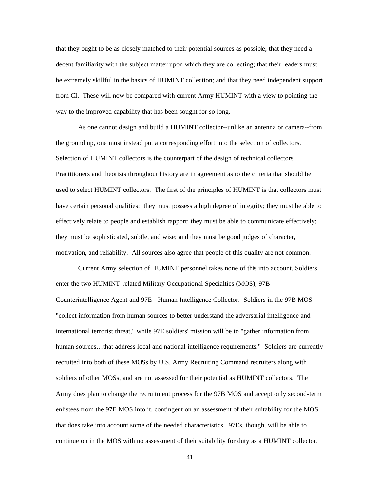that they ought to be as closely matched to their potential sources as possible; that they need a decent familiarity with the subject matter upon which they are collecting; that their leaders must be extremely skillful in the basics of HUMINT collection; and that they need independent support from CI. These will now be compared with current Army HUMINT with a view to pointing the way to the improved capability that has been sought for so long.

As one cannot design and build a HUMINT collector--unlike an antenna or camera--from the ground up, one must instead put a corresponding effort into the selection of collectors. Selection of HUMINT collectors is the counterpart of the design of technical collectors. Practitioners and theorists throughout history are in agreement as to the criteria that should be used to select HUMINT collectors. The first of the principles of HUMINT is that collectors must have certain personal qualities: they must possess a high degree of integrity; they must be able to effectively relate to people and establish rapport; they must be able to communicate effectively; they must be sophisticated, subtle, and wise; and they must be good judges of character, motivation, and reliability. All sources also agree that people of this quality are not common.

Current Army selection of HUMINT personnel takes none of this into account. Soldiers enter the two HUMINT-related Military Occupational Specialties (MOS), 97B Counterintelligence Agent and 97E - Human Intelligence Collector. Soldiers in the 97B MOS "collect information from human sources to better understand the adversarial intelligence and international terrorist threat," while 97E soldiers' mission will be to "gather information from human sources...that address local and national intelligence requirements." Soldiers are currently recruited into both of these MOSs by U.S. Army Recruiting Command recruiters along with soldiers of other MOSs, and are not assessed for their potential as HUMINT collectors. The Army does plan to change the recruitment process for the 97B MOS and accept only second-term enlistees from the 97E MOS into it, contingent on an assessment of their suitability for the MOS that does take into account some of the needed characteristics. 97Es, though, will be able to continue on in the MOS with no assessment of their suitability for duty as a HUMINT collector.

41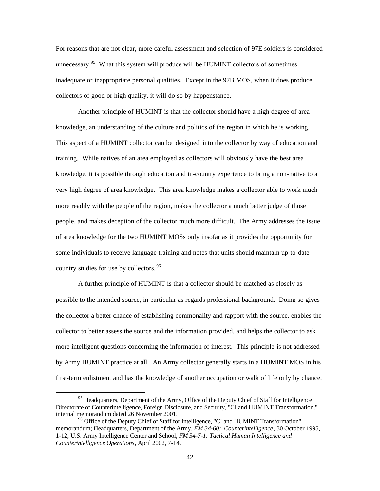For reasons that are not clear, more careful assessment and selection of 97E soldiers is considered unnecessary.<sup>95</sup> What this system will produce will be HUMINT collectors of sometimes inadequate or inappropriate personal qualities. Except in the 97B MOS, when it does produce collectors of good or high quality, it will do so by happenstance.

Another principle of HUMINT is that the collector should have a high degree of area knowledge, an understanding of the culture and politics of the region in which he is working. This aspect of a HUMINT collector can be 'designed' into the collector by way of education and training. While natives of an area employed as collectors will obviously have the best area knowledge, it is possible through education and in-country experience to bring a non-native to a very high degree of area knowledge. This area knowledge makes a collector able to work much more readily with the people of the region, makes the collector a much better judge of those people, and makes deception of the collector much more difficult. The Army addresses the issue of area knowledge for the two HUMINT MOSs only insofar as it provides the opportunity for some individuals to receive language training and notes that units should maintain up-to-date country studies for use by collectors.<sup>96</sup>

A further principle of HUMINT is that a collector should be matched as closely as possible to the intended source, in particular as regards professional background. Doing so gives the collector a better chance of establishing commonality and rapport with the source, enables the collector to better assess the source and the information provided, and helps the collector to ask more intelligent questions concerning the information of interest. This principle is not addressed by Army HUMINT practice at all. An Army collector generally starts in a HUMINT MOS in his first-term enlistment and has the knowledge of another occupation or walk of life only by chance.

 $95$  Headquarters, Department of the Army, Office of the Deputy Chief of Staff for Intelligence Directorate of Counterintelligence, Foreign Disclosure, and Security, "CI and HUMINT Transformation," internal memorandum dated 26 November 2001.

<sup>&</sup>lt;sup>96</sup> Office of the Deputy Chief of Staff for Intelligence, "CI and HUMINT Transformation" memorandum; Headquarters, Department of the Army, *FM 34-60: Counterintelligence* , 30 October 1995, 1-12; U.S. Army Intelligence Center and School, *FM 34-7-1: Tactical Human Intelligence and Counterintelligence Operations*, April 2002, 7-14.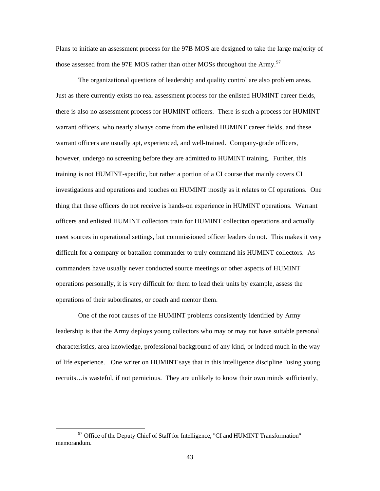Plans to initiate an assessment process for the 97B MOS are designed to take the large majority of those assessed from the 97E MOS rather than other MOSs throughout the Army.<sup>97</sup>

The organizational questions of leadership and quality control are also problem areas. Just as there currently exists no real assessment process for the enlisted HUMINT career fields, there is also no assessment process for HUMINT officers. There is such a process for HUMINT warrant officers, who nearly always come from the enlisted HUMINT career fields, and these warrant officers are usually apt, experienced, and well-trained. Company-grade officers, however, undergo no screening before they are admitted to HUMINT training. Further, this training is not HUMINT-specific, but rather a portion of a CI course that mainly covers CI investigations and operations and touches on HUMINT mostly as it relates to CI operations. One thing that these officers do not receive is hands-on experience in HUMINT operations. Warrant officers and enlisted HUMINT collectors train for HUMINT collection operations and actually meet sources in operational settings, but commissioned officer leaders do not. This makes it very difficult for a company or battalion commander to truly command his HUMINT collectors. As commanders have usually never conducted source meetings or other aspects of HUMINT operations personally, it is very difficult for them to lead their units by example, assess the operations of their subordinates, or coach and mentor them.

One of the root causes of the HUMINT problems consistently identified by Army leadership is that the Army deploys young collectors who may or may not have suitable personal characteristics, area knowledge, professional background of any kind, or indeed much in the way of life experience. One writer on HUMINT says that in this intelligence discipline "using young recruits…is wasteful, if not pernicious. They are unlikely to know their own minds sufficiently,

 $97$  Office of the Deputy Chief of Staff for Intelligence, "CI and HUMINT Transformation" memorandum.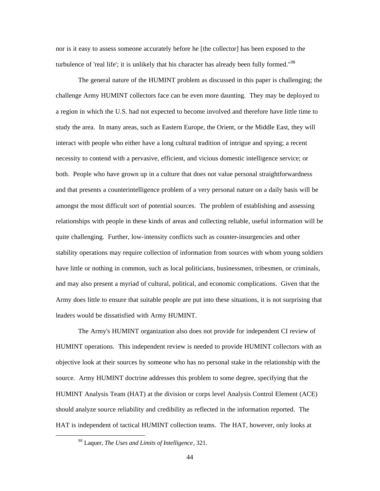nor is it easy to assess someone accurately before he [the collector] has been exposed to the turbulence of 'real life'; it is unlikely that his character has already been fully formed."<sup>98</sup>

The general nature of the HUMINT problem as discussed in this paper is challenging; the challenge Army HUMINT collectors face can be even more daunting. They may be deployed to a region in which the U.S. had not expected to become involved and therefore have little time to study the area. In many areas, such as Eastern Europe, the Orient, or the Middle East, they will interact with people who either have a long cultural tradition of intrigue and spying; a recent necessity to contend with a pervasive, efficient, and vicious domestic intelligence service; or both. People who have grown up in a culture that does not value personal straightforwardness and that presents a counterintelligence problem of a very personal nature on a daily basis will be amongst the most difficult sort of potential sources. The problem of establishing and assessing relationships with people in these kinds of areas and collecting reliable, useful information will be quite challenging. Further, low-intensity conflicts such as counter-insurgencies and other stability operations may require collection of information from sources with whom young soldiers have little or nothing in common, such as local politicians, businessmen, tribesmen, or criminals, and may also present a myriad of cultural, political, and economic complications. Given that the Army does little to ensure that suitable people are put into these situations, it is not surprising that leaders would be dissatisfied with Army HUMINT.

The Army's HUMINT organization also does not provide for independent CI review of HUMINT operations. This independent review is needed to provide HUMINT collectors with an objective look at their sources by someone who has no personal stake in the relationship with the source. Army HUMINT doctrine addresses this problem to some degree, specifying that the HUMINT Analysis Team (HAT) at the division or corps level Analysis Control Element (ACE) should analyze source reliability and credibility as reflected in the information reported. The HAT is independent of tactical HUMINT collection teams. The HAT, however, only looks at

<sup>98</sup> Laquer, *The Uses and Limits of Intelligence*, 321.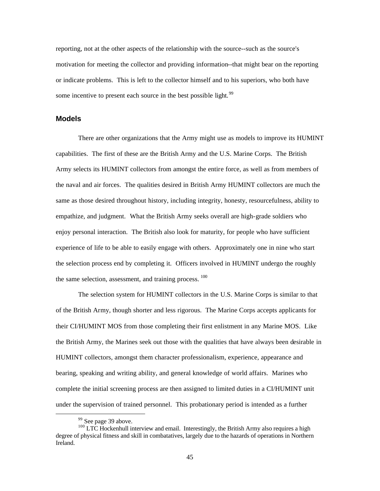reporting, not at the other aspects of the relationship with the source--such as the source's motivation for meeting the collector and providing information--that might bear on the reporting or indicate problems. This is left to the collector himself and to his superiors, who both have some incentive to present each source in the best possible light.  $99$ 

#### **Models**

There are other organizations that the Army might use as models to improve its HUMINT capabilities. The first of these are the British Army and the U.S. Marine Corps. The British Army selects its HUMINT collectors from amongst the entire force, as well as from members of the naval and air forces. The qualities desired in British Army HUMINT collectors are much the same as those desired throughout history, including integrity, honesty, resourcefulness, ability to empathize, and judgment. What the British Army seeks overall are high-grade soldiers who enjoy personal interaction. The British also look for maturity, for people who have sufficient experience of life to be able to easily engage with others. Approximately one in nine who start the selection process end by completing it. Officers involved in HUMINT undergo the roughly the same selection, assessment, and training process.  $100$ 

The selection system for HUMINT collectors in the U.S. Marine Corps is similar to that of the British Army, though shorter and less rigorous. The Marine Corps accepts applicants for their CI/HUMINT MOS from those completing their first enlistment in any Marine MOS. Like the British Army, the Marines seek out those with the qualities that have always been desirable in HUMINT collectors, amongst them character professionalism, experience, appearance and bearing, speaking and writing ability, and general knowledge of world affairs. Marines who complete the initial screening process are then assigned to limited duties in a CI/HUMINT unit under the supervision of trained personnel. This probationary period is intended as a further

 $99$  See page 39 above.

 $100$  LTC Hockenhull interview and email. Interestingly, the British Army also requires a high degree of physical fitness and skill in combatatives, largely due to the hazards of operations in Northern Ireland.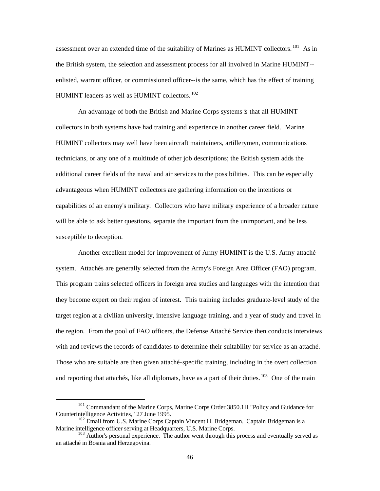assessment over an extended time of the suitability of Marines as HUMINT collectors.  $^{101}$  As in the British system, the selection and assessment process for all involved in Marine HUMINT- enlisted, warrant officer, or commissioned officer--is the same, which has the effect of training HUMINT leaders as well as HUMINT collectors. 102

An advantage of both the British and Marine Corps systems is that all HUMINT collectors in both systems have had training and experience in another career field. Marine HUMINT collectors may well have been aircraft maintainers, artillerymen, communications technicians, or any one of a multitude of other job descriptions; the British system adds the additional career fields of the naval and air services to the possibilities. This can be especially advantageous when HUMINT collectors are gathering information on the intentions or capabilities of an enemy's military. Collectors who have military experience of a broader nature will be able to ask better questions, separate the important from the unimportant, and be less susceptible to deception.

Another excellent model for improvement of Army HUMINT is the U.S. Army attaché system. Attachés are generally selected from the Army's Foreign Area Officer (FAO) program. This program trains selected officers in foreign area studies and languages with the intention that they become expert on their region of interest. This training includes graduate-level study of the target region at a civilian university, intensive language training, and a year of study and travel in the region. From the pool of FAO officers, the Defense Attaché Service then conducts interviews with and reviews the records of candidates to determine their suitability for service as an attaché. Those who are suitable are then given attaché-specific training, including in the overt collection and reporting that attachés, like all diplomats, have as a part of their duties.  $103$  One of the main

<sup>&</sup>lt;sup>101</sup> Commandant of the Marine Corps, Marine Corps Order 3850.1H "Policy and Guidance for Counterintelligence Activities," 27 June 1995.

 $^{102}$  Email from U.S. Marine Corps Captain Vincent H. Bridgeman. Captain Bridgeman is a Marine intelligence officer serving at Headquarters, U.S. Marine Corps.

 $103$  Author's personal experience. The author went through this process and eventually served as an attaché in Bosnia and Herzegovina.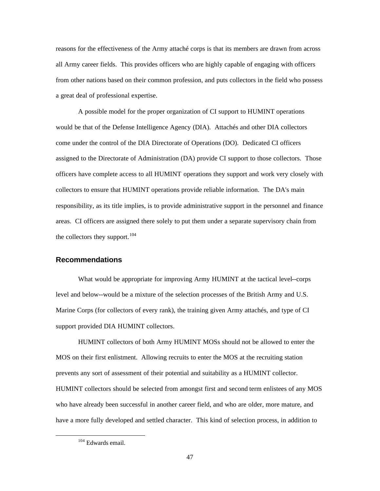reasons for the effectiveness of the Army attaché corps is that its members are drawn from across all Army career fields. This provides officers who are highly capable of engaging with officers from other nations based on their common profession, and puts collectors in the field who possess a great deal of professional expertise.

A possible model for the proper organization of CI support to HUMINT operations would be that of the Defense Intelligence Agency (DIA). Attachés and other DIA collectors come under the control of the DIA Directorate of Operations (DO). Dedicated CI officers assigned to the Directorate of Administration (DA) provide CI support to those collectors. Those officers have complete access to all HUMINT operations they support and work very closely with collectors to ensure that HUMINT operations provide reliable information. The DA's main responsibility, as its title implies, is to provide administrative support in the personnel and finance areas. CI officers are assigned there solely to put them under a separate supervisory chain from the collectors they support.  $104$ 

#### **Recommendations**

What would be appropriate for improving Army HUMINT at the tactical level--corps level and below--would be a mixture of the selection processes of the British Army and U.S. Marine Corps (for collectors of every rank), the training given Army attachés, and type of CI support provided DIA HUMINT collectors.

HUMINT collectors of both Army HUMINT MOSs should not be allowed to enter the MOS on their first enlistment. Allowing recruits to enter the MOS at the recruiting station prevents any sort of assessment of their potential and suitability as a HUMINT collector. HUMINT collectors should be selected from amongst first and second term enlistees of any MOS who have already been successful in another career field, and who are older, more mature, and have a more fully developed and settled character. This kind of selection process, in addition to

<sup>104</sup> Edwards email.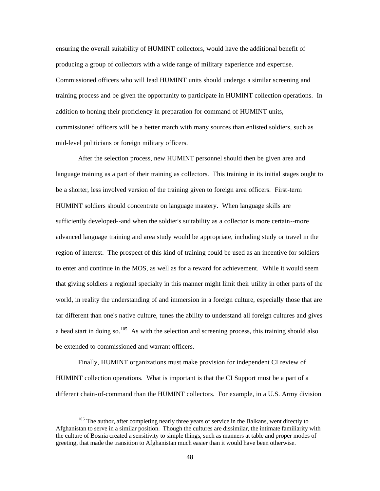ensuring the overall suitability of HUMINT collectors, would have the additional benefit of producing a group of collectors with a wide range of military experience and expertise. Commissioned officers who will lead HUMINT units should undergo a similar screening and training process and be given the opportunity to participate in HUMINT collection operations. In addition to honing their proficiency in preparation for command of HUMINT units, commissioned officers will be a better match with many sources than enlisted soldiers, such as mid-level politicians or foreign military officers.

After the selection process, new HUMINT personnel should then be given area and language training as a part of their training as collectors. This training in its initial stages ought to be a shorter, less involved version of the training given to foreign area officers. First-term HUMINT soldiers should concentrate on language mastery. When language skills are sufficiently developed--and when the soldier's suitability as a collector is more certain--more advanced language training and area study would be appropriate, including study or travel in the region of interest. The prospect of this kind of training could be used as an incentive for soldiers to enter and continue in the MOS, as well as for a reward for achievement. While it would seem that giving soldiers a regional specialty in this manner might limit their utility in other parts of the world, in reality the understanding of and immersion in a foreign culture, especially those that are far different than one's native culture, tunes the ability to understand all foreign cultures and gives a head start in doing so.<sup>105</sup> As with the selection and screening process, this training should also be extended to commissioned and warrant officers.

Finally, HUMINT organizations must make provision for independent CI review of HUMINT collection operations. What is important is that the CI Support must be a part of a different chain-of-command than the HUMINT collectors. For example, in a U.S. Army division

<sup>&</sup>lt;sup>105</sup> The author, after completing nearly three years of service in the Balkans, went directly to Afghanistan to serve in a similar position. Though the cultures are dissimilar, the intimate familiarity with the culture of Bosnia created a sensitivity to simple things, such as manners at table and proper modes of greeting, that made the transition to Afghanistan much easier than it would have been otherwise.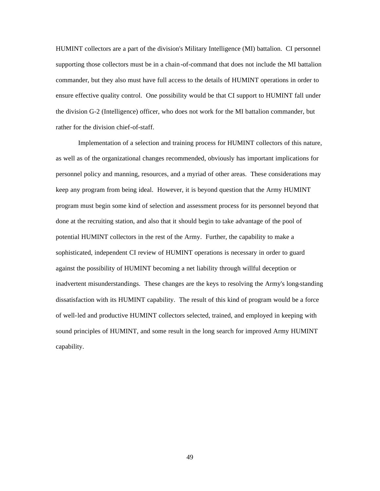HUMINT collectors are a part of the division's Military Intelligence (MI) battalion. CI personnel supporting those collectors must be in a chain-of-command that does not include the MI battalion commander, but they also must have full access to the details of HUMINT operations in order to ensure effective quality control. One possibility would be that CI support to HUMINT fall under the division G-2 (Intelligence) officer, who does not work for the MI battalion commander, but rather for the division chief-of-staff.

Implementation of a selection and training process for HUMINT collectors of this nature, as well as of the organizational changes recommended, obviously has important implications for personnel policy and manning, resources, and a myriad of other areas. These considerations may keep any program from being ideal. However, it is beyond question that the Army HUMINT program must begin some kind of selection and assessment process for its personnel beyond that done at the recruiting station, and also that it should begin to take advantage of the pool of potential HUMINT collectors in the rest of the Army. Further, the capability to make a sophisticated, independent CI review of HUMINT operations is necessary in order to guard against the possibility of HUMINT becoming a net liability through willful deception or inadvertent misunderstandings. These changes are the keys to resolving the Army's long-standing dissatisfaction with its HUMINT capability. The result of this kind of program would be a force of well-led and productive HUMINT collectors selected, trained, and employed in keeping with sound principles of HUMINT, and some result in the long search for improved Army HUMINT capability.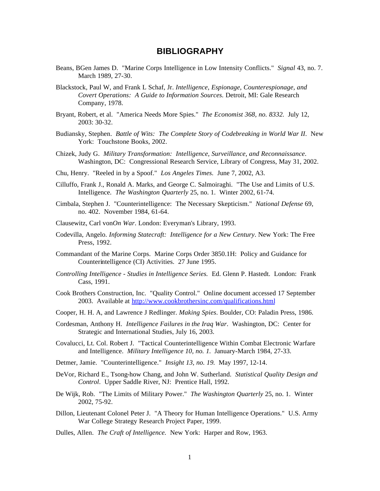## **BIBLIOGRAPHY**

- Beans, BGen James D. "Marine Corps Intelligence in Low Intensity Conflicts." *Signal* 43, no. 7. March 1989, 27-30.
- Blackstock, Paul W, and Frank L Schaf, Jr. *Intelligence, Espionage, Counterespionage, and Covert Operations: A Guide to Information Sources.* Detroit, MI: Gale Research Company, 1978.
- Bryant, Robert, et al. "America Needs More Spies." *The Economist 368, no. 8332.* July 12, 2003: 30-32.
- Budiansky, Stephen. *Battle of Wits: The Complete Story of Codebreaking in World War II*. New York: Touchstone Books, 2002.
- Chizek, Judy G. *Military Transformation: Intelligence, Surveillance, and Reconnaissance*. Washington, DC: Congressional Research Service, Library of Congress, May 31, 2002.
- Chu, Henry. "Reeled in by a Spoof." *Los Angeles Times.* June 7, 2002, A3.
- Cilluffo, Frank J., Ronald A. Marks, and George C. Salmoiraghi. "The Use and Limits of U.S. Intelligence. *The Washington Quarterly* 25, no. 1. Winter 2002, 61-74.
- Cimbala, Stephen J. "Counterintelligence: The Necessary Skepticism." *National Defense* 69, no. 402. November 1984, 61-64.
- Clausewitz, Carl von*On War*. London: Everyman's Library, 1993.
- Codevilla, Angelo. *Informing Statecraft: Intelligence for a New Century*. New York: The Free Press, 1992.
- Commandant of the Marine Corps. Marine Corps Order 3850.1H: Policy and Guidance for Counterintelligence (CI) Activities. 27 June 1995.
- *Controlling Intelligence Studies in Intelligence Series.* Ed. Glenn P. Hastedt. London: Frank Cass, 1991.
- Cook Brothers Construction, Inc. "Quality Control." Online document accessed 17 September 2003. Available at http://www.cookbrothersinc.com/qualifications.html
- Cooper, H. H. A, and Lawrence J Redlinger. *Making Spies*. Boulder, CO: Paladin Press, 1986.
- Cordesman, Anthony H. *Intelligence Failures in the Iraq War*. Washington, DC: Center for Strategic and International Studies, July 16, 2003.
- Covalucci, Lt. Col. Robert J. "Tactical Counterintelligence Within Combat Electronic Warfare and Intelligence. *Military Intelligence 10, no. 1.* January-March 1984, 27-33.
- Detmer, Jamie. "Counterintelligence." *Insight 13, no. 19.* May 1997, 12-14.
- DeVor, Richard E., Tsong-how Chang, and John W. Sutherland. *Statistical Quality Design and Control*. Upper Saddle River, NJ: Prentice Hall, 1992.
- De Wijk, Rob. "The Limits of Military Power." *The Washington Quarterly* 25, no. 1. Winter 2002, 75-92.
- Dillon, Lieutenant Colonel Peter J. "A Theory for Human Intelligence Operations." U.S. Army War College Strategy Research Project Paper, 1999.
- Dulles, Allen. *The Craft of Intelligence.* New York: Harper and Row, 1963.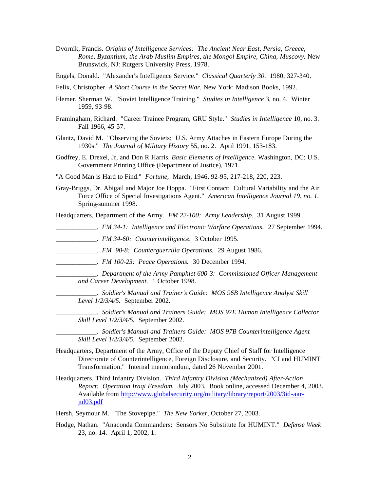- Dvornik, Francis. *Origins of Intelligence Services: The Ancient Near East, Persia, Greece, Rome, Byzantium, the Arab Muslim Empires, the Mongol Empire, China, Muscovy.* New Brunswick, NJ: Rutgers University Press, 1978.
- Engels, Donald. "Alexander's Intelligence Service." *Classical Quarterly 30*. 1980, 327-340.
- Felix, Christopher. *A Short Course in the Secret War*. New York: Madison Books, 1992.
- Flemer, Sherman W. "Soviet Intelligence Training." *Studies in Intelligence* 3, no. 4. Winter 1959, 93-98.
- Framingham, Richard. "Career Trainee Program, GRU Style." *Studies in Intelligence* 10, no. 3. Fall 1966, 45-57.
- Glantz, David M. "Observing the Soviets: U.S. Army Attaches in Eastern Europe During the 1930s." *The Journal of Military History* 55, no. 2. April 1991, 153-183.
- Godfrey, E. Drexel, Jr, and Don R Harris. *Basic Elements of Intelligence.* Washington, DC: U.S. Government Printing Office (Department of Justice), 1971.
- "A Good Man is Hard to Find." *Fortune,* March, 1946, 92-95, 217-218, 220, 223.
- Gray-Briggs, Dr. Abigail and Major Joe Hoppa. "First Contact: Cultural Variability and the Air Force Office of Special Investigations Agent." *American Intelligence Journal 19, no. 1.*  Spring-summer 1998.

Headquarters, Department of the Army. *FM 22-100: Army Leadership.* 31 August 1999.

- \_\_\_\_\_\_\_\_\_\_\_\_. *FM 34-1: Intelligence and Electronic Warfare Operations.* 27 September 1994.
- \_\_\_\_\_\_\_\_\_\_\_\_. *FM 34-60: Counterintelligence.* 3 October 1995.
- \_\_\_\_\_\_\_\_\_\_\_\_. *FM 90-8: Counterguerrilla Operations.* 29 August 1986.
- \_\_\_\_\_\_\_\_\_\_\_\_. *FM 100-23: Peace Operations.* 30 December 1994.
	- \_\_\_\_\_\_\_\_\_\_\_\_. *Department of the Army Pamphlet 600-3: Commissioned Officer Management and Career Development.* 1 October 1998.
		- \_\_\_\_\_\_\_\_\_\_\_\_. *Soldier's Manual and Trainer's Guide: MOS 96B Intelligence Analyst Skill Level 1/2/3/4/5.* September 2002.
		- \_\_\_\_\_\_\_\_\_\_\_\_. *Soldier's Manual and Trainers Guide: MOS 97E Human Intelligence Collector Skill Level 1/2/3/4/5.* September 2002.

\_\_\_\_\_\_\_\_\_\_\_\_. *Soldier's Manual and Trainers Guide: MOS 97B Counterintelligence Agent Skill Level 1/2/3/4/5.* September 2002.

- Headquarters, Department of the Army, Office of the Deputy Chief of Staff for Intelligence Directorate of Counterintelligence, Foreign Disclosure, and Security. "CI and HUMINT Transformation." Internal memorandum, dated 26 November 2001.
- Headquarters, Third Infantry Division. *Third Infantry Division (Mechanized) After-Action Report: Operation Iraqi Freedom.* July 2003. Book online, accessed December 4, 2003. Available from http://www.globalsecurity.org/military/library/report/2003/3id-aarjul03.pdf
- Hersh, Seymour M. "The Stovepipe." *The New Yorker*, October 27, 2003.
- Hodge, Nathan. "Anaconda Commanders: Sensors No Substitute for HUMINT." *Defense Week*  23, no. 14. April 1, 2002, 1.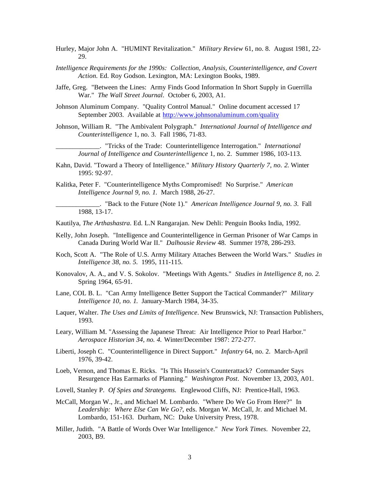- Hurley, Major John A. "HUMINT Revitalization." *Military Review* 61, no. 8. August 1981, 22 29.
- *Intelligence Requirements for the 1990s: Collection, Analysis, Counterintelligence, and Covert Action.* Ed. Roy Godson. Lexington, MA: Lexington Books, 1989.
- Jaffe, Greg. "Between the Lines: Army Finds Good Information In Short Supply in Guerrilla War." *The Wall Street Journal*. October 6, 2003, A1.
- Johnson Aluminum Company. "Quality Control Manual." Online document accessed 17 September 2003. Available at http://www.johnsonaluminum.com/quality
- Johnson, William R. "The Ambivalent Polygraph." *International Journal of Intelligence and Counterintelligence* 1, no. 3. Fall 1986, 71-83.

\_\_\_\_\_\_\_\_\_\_\_\_\_. "Tricks of the Trade: Counterintelligence Interrogation." *International Journal of Intelligence and Counterintelligence* 1, no. 2. Summer 1986, 103-113.

- Kahn, David. "Toward a Theory of Intelligence." *Military History Quarterly 7, no. 2*. Winter 1995: 92-97.
- Kalitka, Peter F. "Counterintelligence Myths Compromised! No Surprise." *American Intelligence Journal 9, no. 1.* March 1988, 26-27.

\_\_\_\_\_\_\_\_\_\_\_\_\_. "Back to the Future (Note 1)." *American Intelligence Journal 9, no. 3.* Fall 1988, 13-17.

Kautilya, *The Arthashastra*. Ed. L.N Rangarajan. New Dehli: Penguin Books India, 1992.

- Kelly, John Joseph. "Intelligence and Counterintelligence in German Prisoner of War Camps in Canada During World War II." *Dalhousie Review* 48. Summer 1978, 286-293.
- Koch, Scott A. "The Role of U.S. Army Military Attaches Between the World Wars." *Studies in Intelligence 38, no. 5.* 1995, 111-115.
- Konovalov, A. A., and V. S. Sokolov. "Meetings With Agents." *Studies in Intelligence 8, no. 2*. Spring 1964, 65-91.
- Lane, COL B. L. "Can Army Intelligence Better Support the Tactical Commander?" *Military Intelligence 10, no. 1*. January-March 1984, 34-35.
- Laquer, Walter. *The Uses and Limits of Intelligence*. New Brunswick, NJ: Transaction Publishers, 1993.
- Leary, William M. "Assessing the Japanese Threat: Air Intelligence Prior to Pearl Harbor." *Aerospace Historian 34, no. 4.* Winter/December 1987: 272-277.
- Liberti, Joseph C. "Counterintelligence in Direct Support." *Infantry* 64, no. 2. March-April 1976, 39-42.
- Loeb, Vernon, and Thomas E. Ricks. "Is This Hussein's Counterattack? Commander Says Resurgence Has Earmarks of Planning." *Washington Post*. November 13, 2003, A01.
- Lovell, Stanley P. *Of Spies and Strategems.* Englewood Cliffs, NJ: Prentice-Hall, 1963.
- McCall, Morgan W., Jr., and Michael M. Lombardo. "Where Do We Go From Here?" In *Leadership: Where Else Can We Go?*, eds. Morgan W. McCall, Jr. and Michael M. Lombardo, 151-163. Durham, NC: Duke University Press, 1978.
- Miller, Judith. "A Battle of Words Over War Intelligence." *New York Times*. November 22, 2003, B9.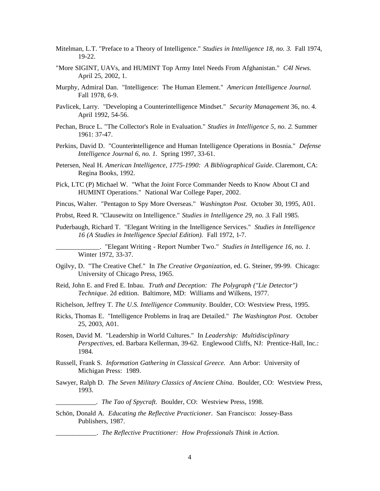- Mitelman, L.T. "Preface to a Theory of Intelligence." *Studies in Intelligence 18, no. 3*. Fall 1974, 19-22.
- "More SIGINT, UAVs, and HUMINT Top Army Intel Needs From Afghanistan." *C4I News.*  April 25, 2002, 1.
- Murphy, Admiral Dan. "Intelligence: The Human Element." *American Intelligence Journal.*  Fall 1978, 6-9.
- Pavlicek, Larry. "Developing a Counterintelligence Mindset." *Security Management* 36, no. 4. April 1992, 54-56.
- Pechan, Bruce L. "The Collector's Role in Evaluation." *Studies in Intelligence 5, no. 2*. Summer 1961: 37-47.
- Perkins, David D. "Counterintelligence and Human Intelligence Operations in Bosnia." *Defense Intelligence Journal 6, no. 1.* Spring 1997, 33-61.
- Petersen, Neal H. *American Intelligence, 1775-1990: A Bibliographical Guide*. Claremont, CA: Regina Books, 1992.
- Pick, LTC (P) Michael W. "What the Joint Force Commander Needs to Know About CI and HUMINT Operations." National War College Paper, 2002.
- Pincus, Walter. "Pentagon to Spy More Overseas." *Washington Post*. October 30, 1995, A01.
- Probst, Reed R. "Clausewitz on Intelligence." *Studies in Intelligence 29, no. 3*. Fall 1985.
- Puderbaugh, Richard T. "Elegant Writing in the Intelligence Services." *Studies in Intelligence 16 (A Studies in Intelligence Special Edition).* Fall 1972, 1-7.

\_\_\_\_\_\_\_\_\_\_\_\_\_. "Elegant Writing - Report Number Two." *Studies in Intelligence 16, no. 1.*  Winter 1972, 33-37.

- Ogilvy, D. "The Creative Chef." In *The Creative Organization*, ed. G. Steiner, 99-99. Chicago: University of Chicago Press, 1965.
- Reid, John E. and Fred E. Inbau. *Truth and Deception: The Polygraph ("Lie Detector") Technique*. 2d edition. Baltimore, MD: Williams and Wilkens, 1977.
- Richelson, Jeffrey T. *The U.S. Intelligence Community*. Boulder, CO: Westview Press, 1995.
- Ricks, Thomas E. "Intelligence Problems in Iraq are Detailed." *The Washington Post.* October 25, 2003, A01.
- Rosen, David M. "Leadership in World Cultures." In *Leadership: Multidisciplinary Perspectives*, ed. Barbara Kellerman, 39-62. Englewood Cliffs, NJ: Prentice-Hall, Inc.: 1984.
- Russell, Frank S. *Information Gathering in Classical Greece.* Ann Arbor: University of Michigan Press: 1989.
- Sawyer, Ralph D. *The Seven Military Classics of Ancient China*. Boulder, CO: Westview Press, 1993.

*\_\_\_\_\_\_\_\_\_\_\_\_. The Tao of Spycraft*. Boulder, CO: Westview Press, 1998.

Schön, Donald A. *Educating the Reflective Practicioner*. San Francisco: Jossey-Bass Publishers, 1987.

\_\_\_\_\_\_\_\_\_\_\_\_. *The Reflective Practitioner: How Professionals Think in Action.*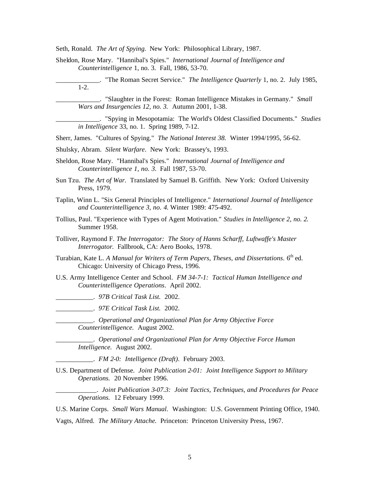Seth, Ronald. *The Art of Spying.* New York: Philosophical Library, 1987.

- Sheldon, Rose Mary. "Hannibal's Spies." *International Journal of Intelligence and Counterintelligence* 1, no. 3. Fall, 1986, 53-70.
- \_\_\_\_\_\_\_\_\_\_\_\_\_. "The Roman Secret Service." *The Intelligence Quarterly* 1, no. 2. July 1985, 1-2.

\_\_\_\_\_\_\_\_\_\_\_\_\_. "Slaughter in the Forest: Roman Intelligence Mistakes in Germany." *Small Wars and Insurgencies 12, no. 3.* Autumn 2001, 1-38.

\_\_\_\_\_\_\_\_\_\_\_\_\_. "Spying in Mesopotamia: The World's Oldest Classified Documents." *Studies in Intelligence* 33, no. 1. Spring 1989, 7-12.

Sherr, James. "Cultures of Spying." *The National Interest 38.* Winter 1994/1995, 56-62.

- Shulsky, Abram. *Silent Warfare*. New York: Brassey's, 1993.
- Sheldon, Rose Mary. "Hannibal's Spies." *International Journal of Intelligence and Counterintelligence 1, no. 3.* Fall 1987, 53-70.

Sun Tzu. *The Art of War*. Translated by Samuel B. Griffith. New York: Oxford University Press, 1979.

- Taplin, Winn L. "Six General Principles of Intelligence." *International Journal of Intelligence and Counterintelligence 3, no. 4*. Winter 1989: 475-492.
- Tollius, Paul. "Experience with Types of Agent Motivation." *Studies in Intelligence 2, no. 2*. Summer 1958.
- Tolliver, Raymond F. *The Interrogator: The Story of Hanns Scharff, Luftwaffe's Master Interrogator*. Fallbrook, CA: Aero Books, 1978.
- Turabian, Kate L. *A Manual for Writers of Term Papers, Theses, and Dissertations*. 6<sup>th</sup> ed. Chicago: University of Chicago Press, 1996.
- U.S. Army Intelligence Center and School. *FM 34-7-1: Tactical Human Intelligence and Counterintelligence Operations*. April 2002.

\_\_\_\_\_\_\_\_\_\_\_. *97B Critical Task List.* 2002.

\_\_\_\_\_\_\_\_\_\_\_. *97E Critical Task List.* 2002.

\_\_\_\_\_\_\_\_\_\_\_. *Operational and Organizational Plan for Army Objective Force Counterintelligence.* August 2002.

\_\_\_\_\_\_\_\_\_\_\_. *Operational and Organizational Plan for Army Objective Force Human Intelligence.* August 2002.

\_\_\_\_\_\_\_\_\_\_\_. *FM 2-0: Intelligence (Draft)*. February 2003.

U.S. Department of Defense. *Joint Publication 2-01: Joint Intelligence Support to Military Operations.* 20 November 1996.

\_\_\_\_\_\_\_\_\_\_\_\_. *Joint Publication 3-07.3: Joint Tactics, Techniques, and Procedures for Peace Operations.* 12 February 1999.

U.S. Marine Corps. *Small Wars Manual.* Washington: U.S. Government Printing Office, 1940.

Vagts, Alfred. *The Military Attache.* Princeton: Princeton University Press, 1967.